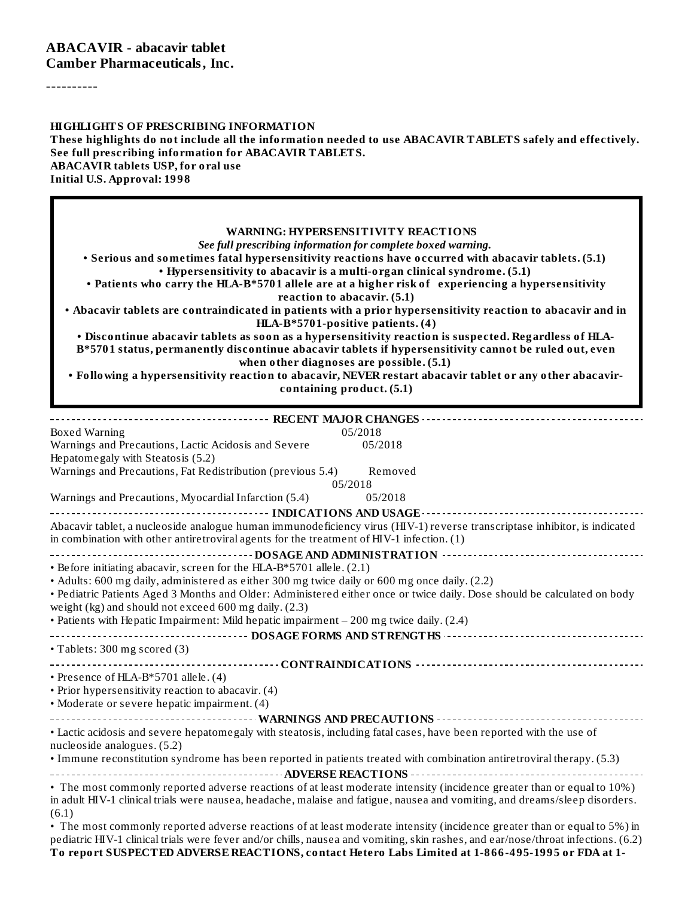----------

 $\blacksquare$ 

#### **HIGHLIGHTS OF PRESCRIBING INFORMATION These highlights do not include all the information needed to use ABACAVIR TABLETS safely and effectively. See full prescribing information for ABACAVIR TABLETS. ABACAVIR tablets USP, for oral use Initial U.S. Approval: 1998**

Ŧ

| <b>WARNING: HYPERSENSITIVITY REACTIONS</b><br>See full prescribing information for complete boxed warning.<br>. Serious and sometimes fatal hypersensitivity reactions have occurred with abacavir tablets. (5.1)<br>. Hypersensitivity to abacavir is a multi-organ clinical syndrome. (5.1)<br>• Patients who carry the HLA-B*5701 allele are at a higher risk of experiencing a hypersensitivity<br>reaction to abacavir. (5.1)<br>. Abacavir tablets are contraindicated in patients with a prior hypersensitivity reaction to abacavir and in<br>HLA-B*5701-positive patients. (4)<br>. Discontinue abacavir tablets as soon as a hypersensitivity reaction is suspected. Regardless of HLA-<br>B*5701 status, permanently discontinue abacavir tablets if hypersensitivity cannot be ruled out, even<br>when other diagnoses are possible. (5.1)<br>. Following a hypersensitivity reaction to abacavir, NEVER restart abacavir tablet or any other abacavir-<br>containing product. (5.1) |  |  |  |  |
|--------------------------------------------------------------------------------------------------------------------------------------------------------------------------------------------------------------------------------------------------------------------------------------------------------------------------------------------------------------------------------------------------------------------------------------------------------------------------------------------------------------------------------------------------------------------------------------------------------------------------------------------------------------------------------------------------------------------------------------------------------------------------------------------------------------------------------------------------------------------------------------------------------------------------------------------------------------------------------------------------|--|--|--|--|
|                                                                                                                                                                                                                                                                                                                                                                                                                                                                                                                                                                                                                                                                                                                                                                                                                                                                                                                                                                                                  |  |  |  |  |
| 05/2018<br>Boxed Warning<br>Warnings and Precautions, Lactic Acidosis and Severe<br>05/2018<br>Hepatomegaly with Steatosis (5.2)<br>Warnings and Precautions, Fat Redistribution (previous 5.4)<br>Removed<br>05/2018                                                                                                                                                                                                                                                                                                                                                                                                                                                                                                                                                                                                                                                                                                                                                                            |  |  |  |  |
| Warnings and Precautions, Myocardial Infarction (5.4)<br>05/2018                                                                                                                                                                                                                                                                                                                                                                                                                                                                                                                                                                                                                                                                                                                                                                                                                                                                                                                                 |  |  |  |  |
| INDICATIONS AND USAGE<br>Abacavir tablet, a nucleoside analogue human immunodeficiency virus (HIV-1) reverse transcriptase inhibitor, is indicated<br>in combination with other antiretroviral agents for the treatment of HIV-1 infection. (1)<br>• Before initiating abacavir, screen for the HLA-B*5701 allele. (2.1)<br>• Adults: 600 mg daily, administered as either 300 mg twice daily or 600 mg once daily. (2.2)<br>. Pediatric Patients Aged 3 Months and Older: Administered either once or twice daily. Dose should be calculated on body<br>weight (kg) and should not exceed 600 mg daily. (2.3)<br>• Patients with Hepatic Impairment: Mild hepatic impairment - 200 mg twice daily. (2.4)                                                                                                                                                                                                                                                                                        |  |  |  |  |
|                                                                                                                                                                                                                                                                                                                                                                                                                                                                                                                                                                                                                                                                                                                                                                                                                                                                                                                                                                                                  |  |  |  |  |
| • Tablets: 300 mg scored (3)                                                                                                                                                                                                                                                                                                                                                                                                                                                                                                                                                                                                                                                                                                                                                                                                                                                                                                                                                                     |  |  |  |  |
|                                                                                                                                                                                                                                                                                                                                                                                                                                                                                                                                                                                                                                                                                                                                                                                                                                                                                                                                                                                                  |  |  |  |  |
| • Presence of HLA-B*5701 allele. (4)<br>• Prior hypersensitivity reaction to abacavir. (4)<br>• Moderate or severe hepatic impairment. (4)                                                                                                                                                                                                                                                                                                                                                                                                                                                                                                                                                                                                                                                                                                                                                                                                                                                       |  |  |  |  |
| • Lactic acidosis and severe hepatomegaly with steatosis, including fatal cases, have been reported with the use of<br>nucleoside analogues. (5.2)<br>· Immune reconstitution syndrome has been reported in patients treated with combination antiretroviral therapy. (5.3)                                                                                                                                                                                                                                                                                                                                                                                                                                                                                                                                                                                                                                                                                                                      |  |  |  |  |
| • The most commonly reported adverse reactions of at least moderate intensity (incidence greater than or equal to 10%)<br>in adult HIV-1 clinical trials were nausea, headache, malaise and fatigue, nausea and vomiting, and dreams/sleep disorders.<br>(6.1)<br>• The most commonly reported adverse reactions of at least moderate intensity (incidence greater than or equal to 5%) in<br>pediatric HIV-1 clinical trials were fever and/or chills, nausea and vomiting, skin rashes, and ear/nose/throat infections. (6.2)<br>To report SUSPECTED ADVERSE REACTIONS, contact Hetero Labs Limited at 1-866-495-1995 or FDA at 1-                                                                                                                                                                                                                                                                                                                                                             |  |  |  |  |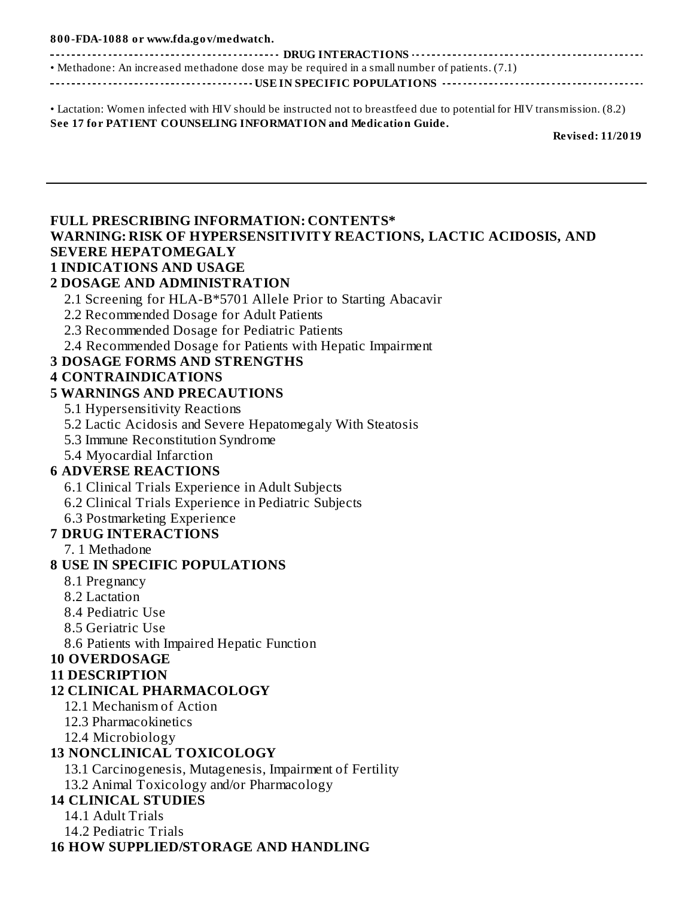| 800-FDA-1088 or www.fda.gov/medwatch.                                                                                                                                                                           |
|-----------------------------------------------------------------------------------------------------------------------------------------------------------------------------------------------------------------|
|                                                                                                                                                                                                                 |
| • Methadone: An increased methadone dose may be required in a small number of patients. (7.1)                                                                                                                   |
|                                                                                                                                                                                                                 |
| • Lactation: Women infected with HIV should be instructed not to breastfeed due to potential for HIV transmission. (8.2)<br>See 17 for PATIENT COUNSELING INFORMATION and Medication Guide.<br>Revised: 11/2019 |

#### **FULL PRESCRIBING INFORMATION: CONTENTS\* WARNING: RISK OF HYPERSENSITIVITY REACTIONS, LACTIC ACIDOSIS, AND SEVERE HEPATOMEGALY 1 INDICATIONS AND USAGE 2 DOSAGE AND ADMINISTRATION** 2.1 Screening for HLA-B\*5701 Allele Prior to Starting Abacavir 2.2 Recommended Dosage for Adult Patients 2.3 Recommended Dosage for Pediatric Patients 2.4 Recommended Dosage for Patients with Hepatic Impairment **3 DOSAGE FORMS AND STRENGTHS 4 CONTRAINDICATIONS 5 WARNINGS AND PRECAUTIONS** 5.1 Hypersensitivity Reactions 5.2 Lactic Acidosis and Severe Hepatomegaly With Steatosis 5.3 Immune Reconstitution Syndrome 5.4 Myocardial Infarction **6 ADVERSE REACTIONS** 6.1 Clinical Trials Experience in Adult Subjects 6.2 Clinical Trials Experience in Pediatric Subjects 6.3 Postmarketing Experience **7 DRUG INTERACTIONS** 7. 1 Methadone **8 USE IN SPECIFIC POPULATIONS** 8.1 Pregnancy 8.2 Lactation 8.4 Pediatric Use 8.5 Geriatric Use 8.6 Patients with Impaired Hepatic Function **10 OVERDOSAGE 11 DESCRIPTION 12 CLINICAL PHARMACOLOGY** 12.1 Mechanism of Action 12.3 Pharmacokinetics 12.4 Microbiology

#### **13 NONCLINICAL TOXICOLOGY**

13.1 Carcinogenesis, Mutagenesis, Impairment of Fertility

13.2 Animal Toxicology and/or Pharmacology

#### **14 CLINICAL STUDIES**

14.1 Adult Trials

14.2 Pediatric Trials

#### **16 HOW SUPPLIED/STORAGE AND HANDLING**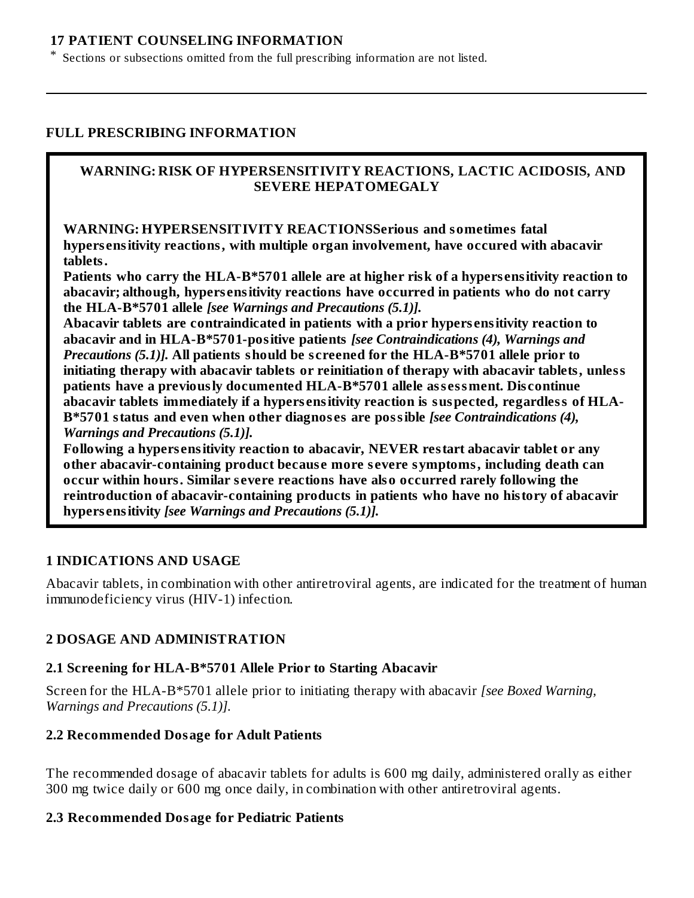#### **17 PATIENT COUNSELING INFORMATION**

Sections or subsections omitted from the full prescribing information are not listed.

#### **FULL PRESCRIBING INFORMATION**

\*

#### **WARNING: RISK OF HYPERSENSITIVITY REACTIONS, LACTIC ACIDOSIS, AND SEVERE HEPATOMEGALY**

**WARNING: HYPERSENSITIVITY REACTIONSSerious and sometimes fatal hypers ensitivity reactions, with multiple organ involvement, have occured with abacavir tablets.**

**Patients who carry the HLA-B\*5701 allele are at higher risk of a hypers ensitivity reaction to abacavir; although, hypers ensitivity reactions have occurred in patients who do not carry the HLA-B\*5701 allele** *[see Warnings and Precautions (5.1)].*

**Abacavir tablets are contraindicated in patients with a prior hypers ensitivity reaction to abacavir and in HLA-B\*5701-positive patients** *[see Contraindications (4), Warnings and Precautions (5.1)].* **All patients should be s creened for the HLA-B\*5701 allele prior to initiating therapy with abacavir tablets or reinitiation of therapy with abacavir tablets, unless patients have a previously documented HLA-B\*5701 allele ass essment. Dis continue abacavir tablets immediately if a hypers ensitivity reaction is suspected, regardless of HLA-B\*5701 status and even when other diagnos es are possible** *[see Contraindications (4), Warnings and Precautions (5.1)].*

**Following a hypers ensitivity reaction to abacavir, NEVER restart abacavir tablet or any other abacavir-containing product becaus e more s evere symptoms, including death can occur within hours. Similar s evere reactions have also occurred rarely following the reintroduction of abacavir-containing products in patients who have no history of abacavir hypers ensitivity** *[see Warnings and Precautions (5.1)].*

#### **1 INDICATIONS AND USAGE**

Abacavir tablets, in combination with other antiretroviral agents, are indicated for the treatment of human immunodeficiency virus (HIV-1) infection.

#### **2 DOSAGE AND ADMINISTRATION**

#### **2.1 Screening for HLA-B\*5701 Allele Prior to Starting Abacavir**

Screen for the HLA-B\*5701 allele prior to initiating therapy with abacavir *[see Boxed Warning, Warnings and Precautions (5.1)].*

#### **2.2 Recommended Dosage for Adult Patients**

The recommended dosage of abacavir tablets for adults is 600 mg daily, administered orally as either 300 mg twice daily or 600 mg once daily, in combination with other antiretroviral agents.

#### **2.3 Recommended Dosage for Pediatric Patients**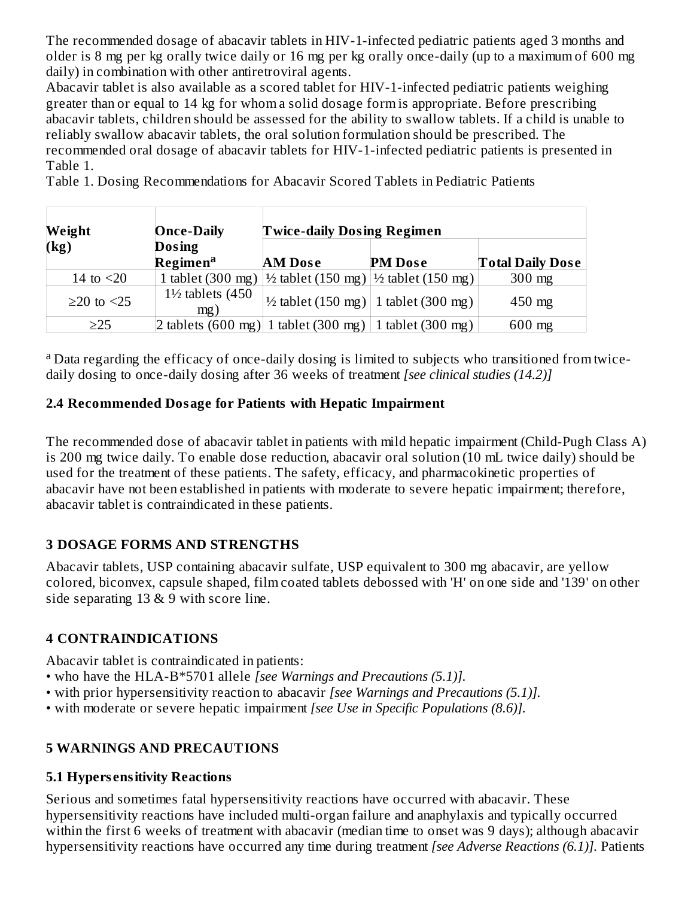The recommended dosage of abacavir tablets in HIV-1-infected pediatric patients aged 3 months and older is 8 mg per kg orally twice daily or 16 mg per kg orally once-daily (up to a maximum of 600 mg daily) in combination with other antiretroviral agents.

Abacavir tablet is also available as a scored tablet for HIV-1-infected pediatric patients weighing greater than or equal to 14 kg for whom a solid dosage form is appropriate. Before prescribing abacavir tablets, children should be assessed for the ability to swallow tablets. If a child is unable to reliably swallow abacavir tablets, the oral solution formulation should be prescribed. The recommended oral dosage of abacavir tablets for HIV-1-infected pediatric patients is presented in Table 1.

Table 1. Dosing Recommendations for Abacavir Scored Tablets in Pediatric Patients

| Weight           | <b>Once-Daily</b>                                         | <b>Twice-daily Dosing Regimen</b> |                                                 |                         |
|------------------|-----------------------------------------------------------|-----------------------------------|-------------------------------------------------|-------------------------|
| (kg)             | <b>Dosing</b><br>Regimen <sup>a</sup>                     | <b>AM</b> Dose                    | <b>PM</b> Dose                                  | <b>Total Daily Dose</b> |
| 14 to $\leq$ 20  | 1 tablet $(300 \text{ mg})$                               |                                   | 1/2 tablet (150 mg)   1/2 tablet (150 mg)       | $300$ mg                |
| $\geq$ 20 to <25 | $1\frac{1}{2}$ tablets (450<br>mg)                        |                                   | $\frac{1}{2}$ tablet (150 mg) 1 tablet (300 mg) | $450$ mg                |
| $\geq$ 25        | 2 tablets (600 mg)  1 tablet (300 mg)   1 tablet (300 mg) |                                   |                                                 | $600$ mg                |

<sup>a</sup> Data regarding the efficacy of once-daily dosing is limited to subjects who transitioned from twicedaily dosing to once-daily dosing after 36 weeks of treatment *[see clinical studies (14.2)]*

### **2.4 Recommended Dosage for Patients with Hepatic Impairment**

The recommended dose of abacavir tablet in patients with mild hepatic impairment (Child-Pugh Class A) is 200 mg twice daily. To enable dose reduction, abacavir oral solution (10 mL twice daily) should be used for the treatment of these patients. The safety, efficacy, and pharmacokinetic properties of abacavir have not been established in patients with moderate to severe hepatic impairment; therefore, abacavir tablet is contraindicated in these patients.

## **3 DOSAGE FORMS AND STRENGTHS**

Abacavir tablets, USP containing abacavir sulfate, USP equivalent to 300 mg abacavir, are yellow colored, biconvex, capsule shaped, film coated tablets debossed with 'H' on one side and '139' on other side separating 13 & 9 with score line.

## **4 CONTRAINDICATIONS**

Abacavir tablet is contraindicated in patients:

- who have the HLA-B\*5701 allele *[see Warnings and Precautions (5.1)].*
- with prior hypersensitivity reaction to abacavir *[see Warnings and Precautions (5.1)].*
- with moderate or severe hepatic impairment *[see Use in Specific Populations (8.6)].*

## **5 WARNINGS AND PRECAUTIONS**

## **5.1 Hypers ensitivity Reactions**

Serious and sometimes fatal hypersensitivity reactions have occurred with abacavir. These hypersensitivity reactions have included multi-organ failure and anaphylaxis and typically occurred within the first 6 weeks of treatment with abacavir (median time to onset was 9 days); although abacavir hypersensitivity reactions have occurred any time during treatment *[see Adverse Reactions (6.1)].* Patients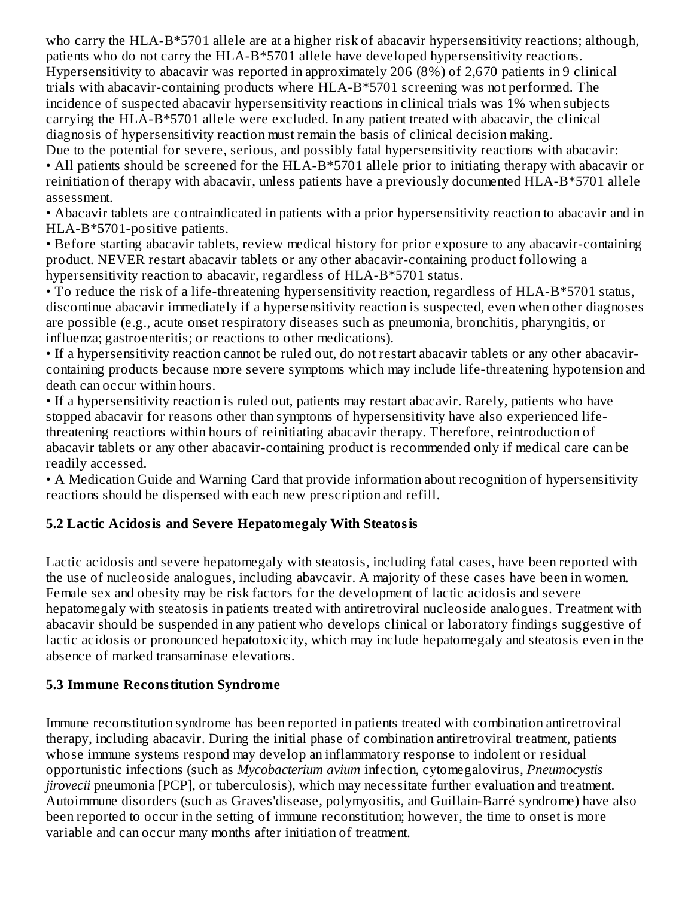who carry the HLA-B\*5701 allele are at a higher risk of abacavir hypersensitivity reactions; although, patients who do not carry the HLA-B\*5701 allele have developed hypersensitivity reactions. Hypersensitivity to abacavir was reported in approximately 206 (8%) of 2,670 patients in 9 clinical trials with abacavir-containing products where HLA-B\*5701 screening was not performed. The incidence of suspected abacavir hypersensitivity reactions in clinical trials was 1% when subjects carrying the HLA-B\*5701 allele were excluded. In any patient treated with abacavir, the clinical diagnosis of hypersensitivity reaction must remain the basis of clinical decision making.

Due to the potential for severe, serious, and possibly fatal hypersensitivity reactions with abacavir: • All patients should be screened for the HLA-B\*5701 allele prior to initiating therapy with abacavir or reinitiation of therapy with abacavir, unless patients have a previously documented HLA-B\*5701 allele assessment.

• Abacavir tablets are contraindicated in patients with a prior hypersensitivity reaction to abacavir and in HLA-B\*5701-positive patients.

• Before starting abacavir tablets, review medical history for prior exposure to any abacavir-containing product. NEVER restart abacavir tablets or any other abacavir-containing product following a hypersensitivity reaction to abacavir, regardless of HLA-B\*5701 status.

• To reduce the risk of a life-threatening hypersensitivity reaction, regardless of HLA-B\*5701 status, discontinue abacavir immediately if a hypersensitivity reaction is suspected, even when other diagnoses are possible (e.g., acute onset respiratory diseases such as pneumonia, bronchitis, pharyngitis, or influenza; gastroenteritis; or reactions to other medications).

• If a hypersensitivity reaction cannot be ruled out, do not restart abacavir tablets or any other abacavircontaining products because more severe symptoms which may include life-threatening hypotension and death can occur within hours.

• If a hypersensitivity reaction is ruled out, patients may restart abacavir. Rarely, patients who have stopped abacavir for reasons other than symptoms of hypersensitivity have also experienced lifethreatening reactions within hours of reinitiating abacavir therapy. Therefore, reintroduction of abacavir tablets or any other abacavir-containing product is recommended only if medical care can be readily accessed.

• A Medication Guide and Warning Card that provide information about recognition of hypersensitivity reactions should be dispensed with each new prescription and refill.

#### **5.2 Lactic Acidosis and Severe Hepatomegaly With Steatosis**

Lactic acidosis and severe hepatomegaly with steatosis, including fatal cases, have been reported with the use of nucleoside analogues, including abavcavir. A majority of these cases have been in women. Female sex and obesity may be risk factors for the development of lactic acidosis and severe hepatomegaly with steatosis in patients treated with antiretroviral nucleoside analogues. Treatment with abacavir should be suspended in any patient who develops clinical or laboratory findings suggestive of lactic acidosis or pronounced hepatotoxicity, which may include hepatomegaly and steatosis even in the absence of marked transaminase elevations.

#### **5.3 Immune Reconstitution Syndrome**

Immune reconstitution syndrome has been reported in patients treated with combination antiretroviral therapy, including abacavir. During the initial phase of combination antiretroviral treatment, patients whose immune systems respond may develop an inflammatory response to indolent or residual opportunistic infections (such as *Mycobacterium avium* infection, cytomegalovirus, *Pneumocystis jirovecii* pneumonia [PCP], or tuberculosis), which may necessitate further evaluation and treatment. Autoimmune disorders (such as Graves'disease, polymyositis, and Guillain-Barré syndrome) have also been reported to occur in the setting of immune reconstitution; however, the time to onset is more variable and can occur many months after initiation of treatment.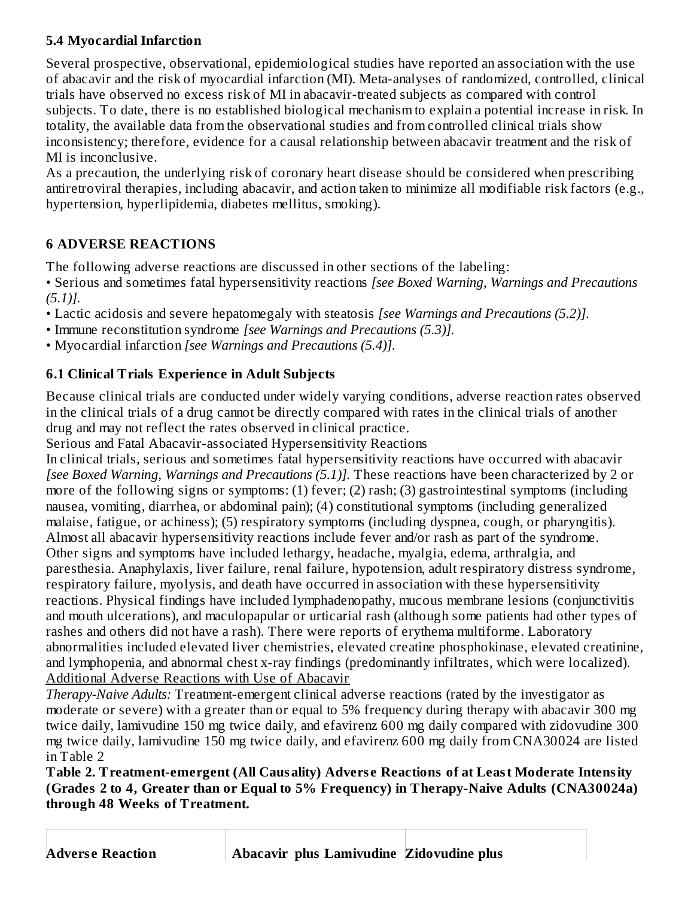### **5.4 Myocardial Infarction**

Several prospective, observational, epidemiological studies have reported an association with the use of abacavir and the risk of myocardial infarction (MI). Meta-analyses of randomized, controlled, clinical trials have observed no excess risk of MI in abacavir-treated subjects as compared with control subjects. To date, there is no established biological mechanism to explain a potential increase in risk. In totality, the available data from the observational studies and from controlled clinical trials show inconsistency; therefore, evidence for a causal relationship between abacavir treatment and the risk of MI is inconclusive.

As a precaution, the underlying risk of coronary heart disease should be considered when prescribing antiretroviral therapies, including abacavir, and action taken to minimize all modifiable risk factors (e.g., hypertension, hyperlipidemia, diabetes mellitus, smoking).

### **6 ADVERSE REACTIONS**

The following adverse reactions are discussed in other sections of the labeling:

• Serious and sometimes fatal hypersensitivity reactions *[see Boxed Warning, Warnings and Precautions (5.1)].*

- Lactic acidosis and severe hepatomegaly with steatosis *[see Warnings and Precautions (5.2)].*
- Immune reconstitution syndrome *[see Warnings and Precautions (5.3)].*
- Myocardial infarction *[see Warnings and Precautions (5.4)].*

### **6.1 Clinical Trials Experience in Adult Subjects**

Because clinical trials are conducted under widely varying conditions, adverse reaction rates observed in the clinical trials of a drug cannot be directly compared with rates in the clinical trials of another drug and may not reflect the rates observed in clinical practice.

Serious and Fatal Abacavir-associated Hypersensitivity Reactions

In clinical trials, serious and sometimes fatal hypersensitivity reactions have occurred with abacavir *[see Boxed Warning, Warnings and Precautions (5.1)].* These reactions have been characterized by 2 or more of the following signs or symptoms: (1) fever; (2) rash; (3) gastrointestinal symptoms (including nausea, vomiting, diarrhea, or abdominal pain); (4) constitutional symptoms (including generalized malaise, fatigue, or achiness); (5) respiratory symptoms (including dyspnea, cough, or pharyngitis). Almost all abacavir hypersensitivity reactions include fever and/or rash as part of the syndrome. Other signs and symptoms have included lethargy, headache, myalgia, edema, arthralgia, and paresthesia. Anaphylaxis, liver failure, renal failure, hypotension, adult respiratory distress syndrome, respiratory failure, myolysis, and death have occurred in association with these hypersensitivity reactions. Physical findings have included lymphadenopathy, mucous membrane lesions (conjunctivitis and mouth ulcerations), and maculopapular or urticarial rash (although some patients had other types of rashes and others did not have a rash). There were reports of erythema multiforme. Laboratory abnormalities included elevated liver chemistries, elevated creatine phosphokinase, elevated creatinine, and lymphopenia, and abnormal chest x-ray findings (predominantly infiltrates, which were localized). Additional Adverse Reactions with Use of Abacavir

*Therapy-Naive Adults:* Treatment-emergent clinical adverse reactions (rated by the investigator as moderate or severe) with a greater than or equal to 5% frequency during therapy with abacavir 300 mg twice daily, lamivudine 150 mg twice daily, and efavirenz 600 mg daily compared with zidovudine 300 mg twice daily, lamivudine 150 mg twice daily, and efavirenz 600 mg daily from CNA30024 are listed in Table 2

**Table 2. Treatment-emergent (All Causality) Advers e Reactions of at Least Moderate Intensity (Grades 2 to 4, Greater than or Equal to 5% Frequency) in Therapy-Naive Adults (CNA30024a) through 48 Weeks of Treatment.**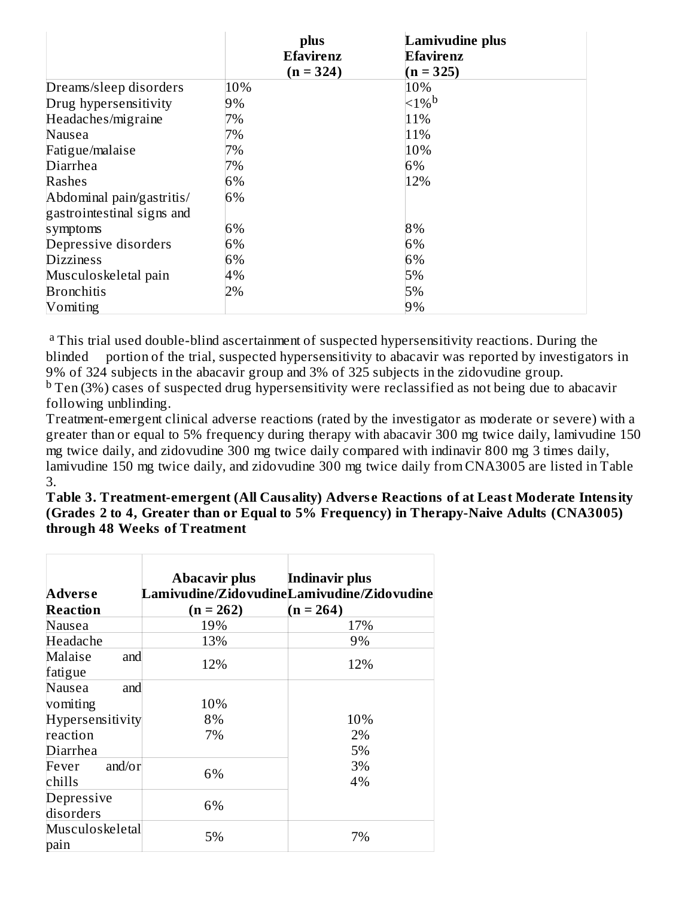|                            | plus<br><b>Efavirenz</b> | Lamivudine plus<br><b>Efavirenz</b> |
|----------------------------|--------------------------|-------------------------------------|
|                            | $(n = 324)$              | $(n = 325)$                         |
| Dreams/sleep disorders     | 10%                      | 10%                                 |
| Drug hypersensitivity      | 9%                       | ${<}1\%$ <sup>b</sup>               |
| Headaches/migraine         | 7%                       | 11%                                 |
| Nausea                     | 7%                       | 11%                                 |
| Fatigue/malaise            | 7%                       | 10%                                 |
| Diarrhea                   | 7%                       | 6%                                  |
| Rashes                     | 6%                       | 12%                                 |
| Abdominal pain/gastritis/  | 6%                       |                                     |
| gastrointestinal signs and |                          |                                     |
| symptoms                   | 6%                       | 8%                                  |
| Depressive disorders       | 6%                       | 6%                                  |
| <b>Dizziness</b>           | 6%                       | 6%                                  |
| Musculoskeletal pain       | 4%                       | 5%                                  |
| <b>Bronchitis</b>          | 2%                       | 5%                                  |
| Vomiting                   |                          | 9%                                  |

<sup>a</sup> This trial used double-blind ascertainment of suspected hypersensitivity reactions. During the blinded portion of the trial, suspected hypersensitivity to abacavir was reported by investigators in 9% of 324 subjects in the abacavir group and 3% of 325 subjects in the zidovudine group.  $^{\rm b}$  Ten (3%) cases of suspected drug hypersensitivity were reclassified as not being due to abacavir following unblinding.

Treatment-emergent clinical adverse reactions (rated by the investigator as moderate or severe) with a greater than or equal to 5% frequency during therapy with abacavir 300 mg twice daily, lamivudine 150 mg twice daily, and zidovudine 300 mg twice daily compared with indinavir 800 mg 3 times daily, lamivudine 150 mg twice daily, and zidovudine 300 mg twice daily from CNA3005 are listed in Table 3.

**Table 3. Treatment-emergent (All Causality) Advers e Reactions of at Least Moderate Intensity (Grades 2 to 4, Greater than or Equal to 5% Frequency) in Therapy-Naive Adults (CNA3005) through 48 Weeks of Treatment**

| Advers e<br>Reaction                                                                                             | Abacavir plus<br>$(n = 262)$ | Indinavir plus<br>Lamivudine/ZidovudineLamivudine/Zidovudine<br>$(n = 264)$ |
|------------------------------------------------------------------------------------------------------------------|------------------------------|-----------------------------------------------------------------------------|
| Nausea                                                                                                           | 19%                          | 17%                                                                         |
| Headache                                                                                                         | 13%                          | 9%                                                                          |
| Malaise<br>and<br>fatigue                                                                                        | 12%                          | 12%                                                                         |
| Nausea<br>and<br>vomiting<br>Hypersensitivity<br>reaction<br>Diarrhea<br>and/or<br>Fever<br>chills<br>Depressive | 10%<br>8%<br>7%<br>6%<br>6%  | 10%<br>2%<br>5%<br>3%<br>4%                                                 |
| disorders<br>Musculoskeletal<br>pain                                                                             | 5%                           | 7%                                                                          |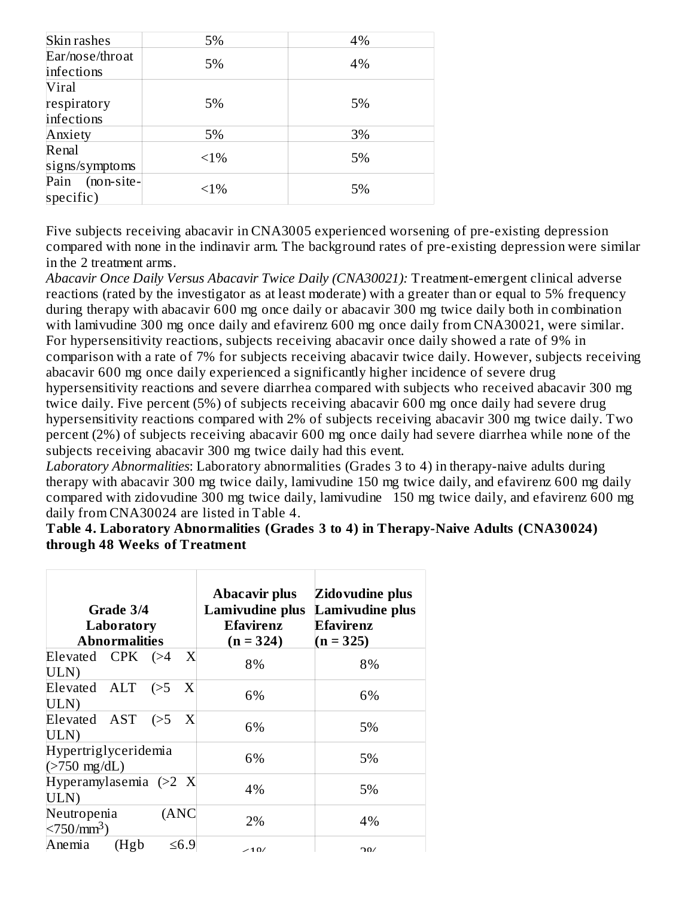| Skin rashes     | 5%     | 4% |
|-----------------|--------|----|
| Ear/nose/throat | 5%     | 4% |
| infections      |        |    |
| Viral           |        |    |
| respiratory     | 5%     | 5% |
| infections      |        |    |
| Anxiety         | 5%     | 3% |
| Renal           | $<1\%$ | 5% |
| signs/symptoms  |        |    |
| Pain (non-site- | $<1\%$ | 5% |
| specific)       |        |    |

Five subjects receiving abacavir in CNA3005 experienced worsening of pre-existing depression compared with none in the indinavir arm. The background rates of pre-existing depression were similar in the 2 treatment arms.

*Abacavir Once Daily Versus Abacavir Twice Daily (CNA30021):* Treatment-emergent clinical adverse reactions (rated by the investigator as at least moderate) with a greater than or equal to 5% frequency during therapy with abacavir 600 mg once daily or abacavir 300 mg twice daily both in combination with lamivudine 300 mg once daily and efavirenz 600 mg once daily from CNA30021, were similar. For hypersensitivity reactions, subjects receiving abacavir once daily showed a rate of 9% in comparison with a rate of 7% for subjects receiving abacavir twice daily. However, subjects receiving abacavir 600 mg once daily experienced a significantly higher incidence of severe drug hypersensitivity reactions and severe diarrhea compared with subjects who received abacavir 300 mg twice daily. Five percent (5%) of subjects receiving abacavir 600 mg once daily had severe drug hypersensitivity reactions compared with 2% of subjects receiving abacavir 300 mg twice daily. Two percent (2%) of subjects receiving abacavir 600 mg once daily had severe diarrhea while none of the subjects receiving abacavir 300 mg twice daily had this event.

*Laboratory Abnormalities*: Laboratory abnormalities (Grades 3 to 4) in therapy-naive adults during therapy with abacavir 300 mg twice daily, lamivudine 150 mg twice daily, and efavirenz 600 mg daily compared with zidovudine 300 mg twice daily, lamivudine 150 mg twice daily, and efavirenz 600 mg daily from CNA30024 are listed in Table 4.

**Table 4. Laboratory Abnormalities (Grades 3 to 4) in Therapy-Naive Adults (CNA30024) through 48 Weeks of Treatment**

|                                          | Grade 3/4<br>Laboratory<br><b>Abnormalities</b> |       |                  | <b>Abacavir plus</b><br>Lamivudine plus<br><b>Efavirenz</b><br>$(n = 324)$ | Zidovudine plus<br>Lamivudine plus<br>Efavirenz<br>$(n = 325)$ |
|------------------------------------------|-------------------------------------------------|-------|------------------|----------------------------------------------------------------------------|----------------------------------------------------------------|
| Elevated CPK (>4<br>ULN)                 |                                                 |       | X                | 8%                                                                         | 8%                                                             |
| Elevated ALT<br>ULN)                     |                                                 | (>5   | X                | 6%                                                                         | 6%                                                             |
| Elevated AST (>5<br>ULN)                 |                                                 |       | $\boldsymbol{X}$ | 6%                                                                         | 5%                                                             |
| Hypertriglyceridemia<br>$($ >750 mg/dL)  |                                                 |       |                  | 6%                                                                         | 5%                                                             |
| Hyperamylasemia (>2 X<br>ULN)            |                                                 |       |                  | $4\%$                                                                      | 5%                                                             |
| Neutropenia<br>$<$ 750/mm <sup>3</sup> ) |                                                 | (ANC) |                  | 2%                                                                         | 4%                                                             |
| Anemia                                   | (Hgb)                                           |       | $≤6.9$           | $-10/$                                                                     | 20/                                                            |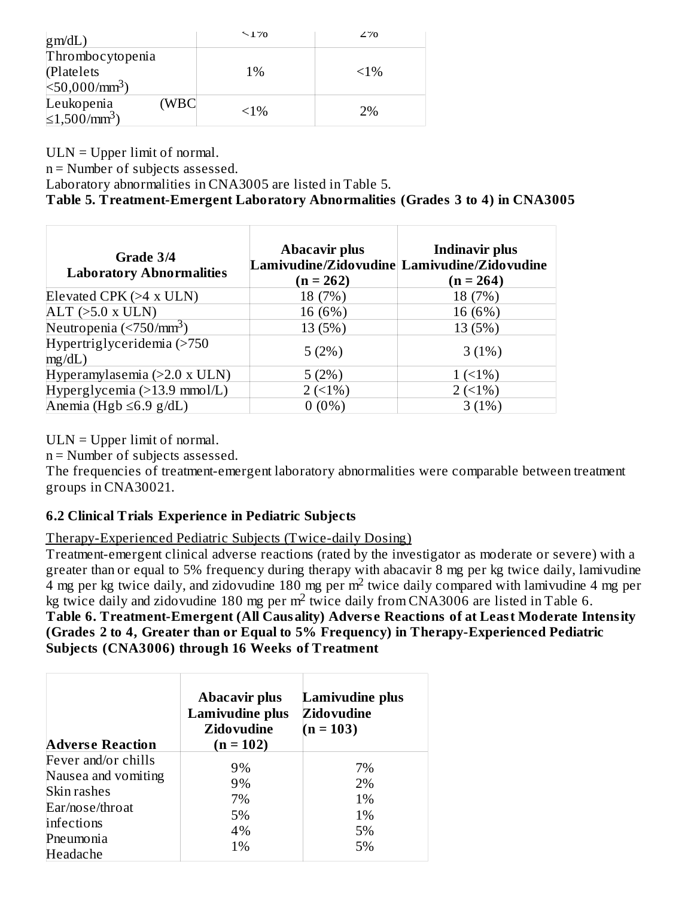| gm/dL)                         |      | $\sim$ 1 $\%$ | $2\%$   |
|--------------------------------|------|---------------|---------|
| Thrombocytopenia               |      |               |         |
| (Platelets                     |      | $1\%$         | $< 1\%$ |
| $\approx 50,000/\text{mm}^3$ ) |      |               |         |
| Leukopenia                     | (WBC |               |         |
| $\leq 1,500/\text{mm}^3$ )     |      | $< 1\%$       | 2%      |

 $ULN = Upper$  limit of normal.

n = Number of subjects assessed.

Laboratory abnormalities in CNA3005 are listed in Table 5.

#### **Table 5. Treatment-Emergent Laboratory Abnormalities (Grades 3 to 4) in CNA3005**

| Grade 3/4<br><b>Laboratory Abnormalities</b> | <b>Abacavir plus</b><br>$(n = 262)$ | <b>Indinavir plus</b><br>Lamivudine/Zidovudine Lamivudine/Zidovudine<br>$(n = 264)$ |
|----------------------------------------------|-------------------------------------|-------------------------------------------------------------------------------------|
| Elevated CPK (>4 x ULN)                      | 18 (7%)                             | 18 (7%)                                                                             |
| $ALT$ ( $>5.0$ x ULN)                        | 16 (6%)                             | 16 (6%)                                                                             |
| Neutropenia (<750/mm <sup>3</sup> )          | 13 (5%)                             | 13 (5%)                                                                             |
| Hypertriglyceridemia (>750<br>mg/dL)         | 5(2%)                               | 3(1%)                                                                               |
| Hyperamylasemia (>2.0 x ULN)                 | 5(2%)                               | $1(1\%)$                                                                            |
| Hyperglycemia (>13.9 mmol/L)                 | 2(1%)                               | 2(51%)                                                                              |
| Anemia (Hgb $\leq$ 6.9 g/dL)                 | $0(0\%)$                            | 3(1%)                                                                               |

 $ULN = Upper$  limit of normal.

n = Number of subjects assessed.

The frequencies of treatment-emergent laboratory abnormalities were comparable between treatment groups in CNA30021.

#### **6.2 Clinical Trials Experience in Pediatric Subjects**

Therapy-Experienced Pediatric Subjects (Twice-daily Dosing)

Treatment-emergent clinical adverse reactions (rated by the investigator as moderate or severe) with a greater than or equal to 5% frequency during therapy with abacavir 8 mg per kg twice daily, lamivudine  $\frac{3}{4}$  mg per kg twice daily, and zidovudine 180 mg per m<sup>2</sup> twice daily compared with lamivudine 4 mg per kg twice daily and zidovudine 180 mg per m<sup>2</sup> twice daily from CNA3006 are listed in Table 6. **Table 6. Treatment-Emergent (All Causality) Advers e Reactions of at Least Moderate Intensity (Grades 2 to 4, Greater than or Equal to 5% Frequency) in Therapy-Experienced Pediatric Subjects (CNA3006) through 16 Weeks of Treatment**

| <b>Adverse Reaction</b> | <b>Abacavir plus</b><br>Lamivudine plus<br><b>Zidovudine</b><br>$(n = 102)$ | Lamivudine plus<br><b>Zidovudine</b><br>$(n = 103)$ |
|-------------------------|-----------------------------------------------------------------------------|-----------------------------------------------------|
| Fever and/or chills     | 9%                                                                          | 7%                                                  |
| Nausea and vomiting     | 9%                                                                          | 2%                                                  |
| Skin rashes             | 7%                                                                          | 1%                                                  |
| Ear/nose/throat         | 5%                                                                          | 1%                                                  |
| infections              | 4%                                                                          | 5%                                                  |
| Pneumonia               | 1%                                                                          | 5%                                                  |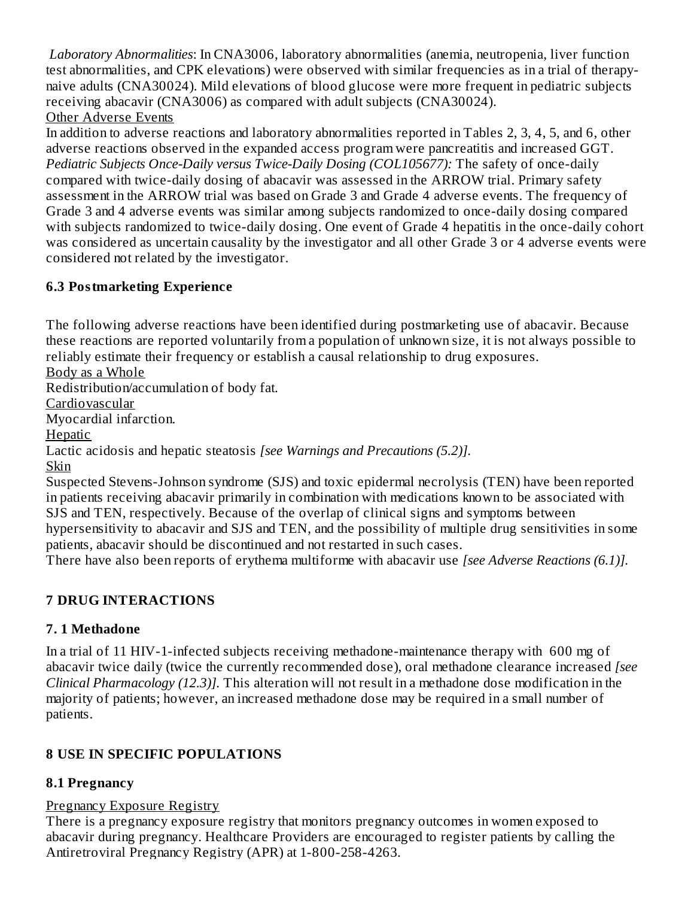*Laboratory Abnormalities*: In CNA3006, laboratory abnormalities (anemia, neutropenia, liver function test abnormalities, and CPK elevations) were observed with similar frequencies as in a trial of therapynaive adults (CNA30024). Mild elevations of blood glucose were more frequent in pediatric subjects receiving abacavir (CNA3006) as compared with adult subjects (CNA30024). Other Adverse Events

In addition to adverse reactions and laboratory abnormalities reported in Tables 2, 3, 4, 5, and 6, other adverse reactions observed in the expanded access program were pancreatitis and increased GGT. *Pediatric Subjects Once-Daily versus Twice-Daily Dosing (COL105677):* The safety of once-daily compared with twice-daily dosing of abacavir was assessed in the ARROW trial. Primary safety assessment in the ARROW trial was based on Grade 3 and Grade 4 adverse events. The frequency of Grade 3 and 4 adverse events was similar among subjects randomized to once-daily dosing compared with subjects randomized to twice-daily dosing. One event of Grade 4 hepatitis in the once-daily cohort was considered as uncertain causality by the investigator and all other Grade 3 or 4 adverse events were considered not related by the investigator.

### **6.3 Postmarketing Experience**

The following adverse reactions have been identified during postmarketing use of abacavir. Because these reactions are reported voluntarily from a population of unknown size, it is not always possible to reliably estimate their frequency or establish a causal relationship to drug exposures. Body as a Whole

Redistribution/accumulation of body fat.

Cardiovascular

Myocardial infarction.

Hepatic

Lactic acidosis and hepatic steatosis *[see Warnings and Precautions (5.2)].*

Skin

Suspected Stevens-Johnson syndrome (SJS) and toxic epidermal necrolysis (TEN) have been reported in patients receiving abacavir primarily in combination with medications known to be associated with SJS and TEN, respectively. Because of the overlap of clinical signs and symptoms between hypersensitivity to abacavir and SJS and TEN, and the possibility of multiple drug sensitivities in some patients, abacavir should be discontinued and not restarted in such cases.

There have also been reports of erythema multiforme with abacavir use *[see Adverse Reactions (6.1)].*

## **7 DRUG INTERACTIONS**

## **7. 1 Methadone**

In a trial of 11 HIV-1-infected subjects receiving methadone-maintenance therapy with 600 mg of abacavir twice daily (twice the currently recommended dose), oral methadone clearance increased *[see Clinical Pharmacology (12.3)].* This alteration will not result in a methadone dose modification in the majority of patients; however, an increased methadone dose may be required in a small number of patients.

## **8 USE IN SPECIFIC POPULATIONS**

## **8.1 Pregnancy**

### Pregnancy Exposure Registry

There is a pregnancy exposure registry that monitors pregnancy outcomes in women exposed to abacavir during pregnancy. Healthcare Providers are encouraged to register patients by calling the Antiretroviral Pregnancy Registry (APR) at 1-800-258-4263.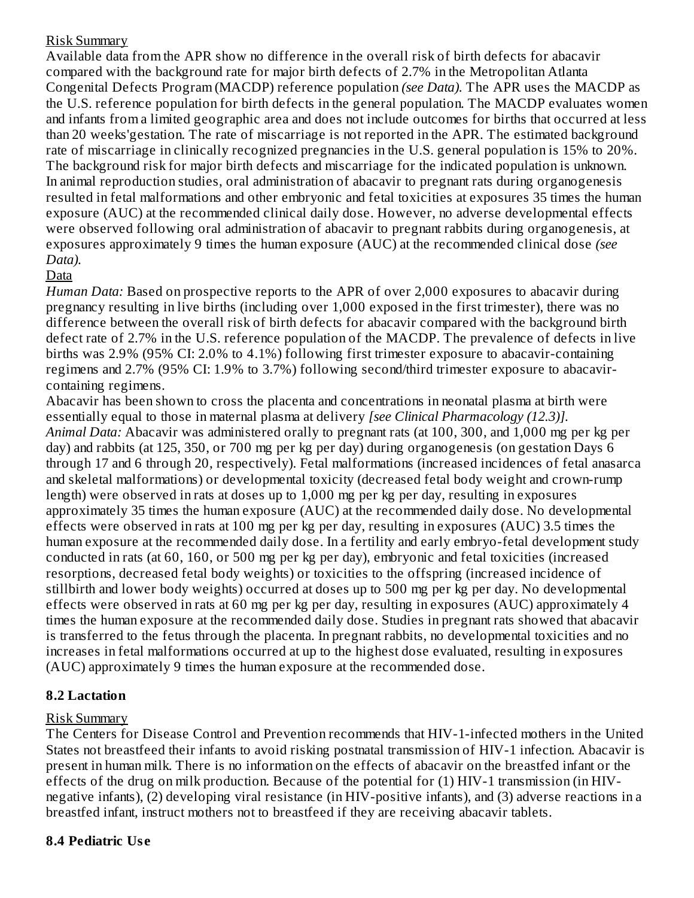### Risk Summary

Available data from the APR show no difference in the overall risk of birth defects for abacavir compared with the background rate for major birth defects of 2.7% in the Metropolitan Atlanta Congenital Defects Program (MACDP) reference population *(see Data).* The APR uses the MACDP as the U.S. reference population for birth defects in the general population. The MACDP evaluates women and infants from a limited geographic area and does not include outcomes for births that occurred at less than 20 weeks'gestation. The rate of miscarriage is not reported in the APR. The estimated background rate of miscarriage in clinically recognized pregnancies in the U.S. general population is 15% to 20%. The background risk for major birth defects and miscarriage for the indicated population is unknown. In animal reproduction studies, oral administration of abacavir to pregnant rats during organogenesis resulted in fetal malformations and other embryonic and fetal toxicities at exposures 35 times the human exposure (AUC) at the recommended clinical daily dose. However, no adverse developmental effects were observed following oral administration of abacavir to pregnant rabbits during organogenesis, at exposures approximately 9 times the human exposure (AUC) at the recommended clinical dose *(see Data).*

### Data

*Human Data:* Based on prospective reports to the APR of over 2,000 exposures to abacavir during pregnancy resulting in live births (including over 1,000 exposed in the first trimester), there was no difference between the overall risk of birth defects for abacavir compared with the background birth defect rate of 2.7% in the U.S. reference population of the MACDP. The prevalence of defects in live births was 2.9% (95% CI: 2.0% to 4.1%) following first trimester exposure to abacavir-containing regimens and 2.7% (95% CI: 1.9% to 3.7%) following second/third trimester exposure to abacavircontaining regimens.

Abacavir has been shown to cross the placenta and concentrations in neonatal plasma at birth were essentially equal to those in maternal plasma at delivery *[see Clinical Pharmacology (12.3)]. Animal Data:* Abacavir was administered orally to pregnant rats (at 100, 300, and 1,000 mg per kg per day) and rabbits (at 125, 350, or 700 mg per kg per day) during organogenesis (on gestation Days 6 through 17 and 6 through 20, respectively). Fetal malformations (increased incidences of fetal anasarca and skeletal malformations) or developmental toxicity (decreased fetal body weight and crown-rump length) were observed in rats at doses up to 1,000 mg per kg per day, resulting in exposures approximately 35 times the human exposure (AUC) at the recommended daily dose. No developmental effects were observed in rats at 100 mg per kg per day, resulting in exposures (AUC) 3.5 times the human exposure at the recommended daily dose. In a fertility and early embryo-fetal development study conducted in rats (at 60, 160, or 500 mg per kg per day), embryonic and fetal toxicities (increased resorptions, decreased fetal body weights) or toxicities to the offspring (increased incidence of stillbirth and lower body weights) occurred at doses up to 500 mg per kg per day. No developmental effects were observed in rats at 60 mg per kg per day, resulting in exposures (AUC) approximately 4 times the human exposure at the recommended daily dose. Studies in pregnant rats showed that abacavir is transferred to the fetus through the placenta. In pregnant rabbits, no developmental toxicities and no increases in fetal malformations occurred at up to the highest dose evaluated, resulting in exposures (AUC) approximately 9 times the human exposure at the recommended dose.

### **8.2 Lactation**

#### Risk Summary

The Centers for Disease Control and Prevention recommends that HIV-1-infected mothers in the United States not breastfeed their infants to avoid risking postnatal transmission of HIV-1 infection. Abacavir is present in human milk. There is no information on the effects of abacavir on the breastfed infant or the effects of the drug on milk production. Because of the potential for (1) HIV-1 transmission (in HIVnegative infants), (2) developing viral resistance (in HIV-positive infants), and (3) adverse reactions in a breastfed infant, instruct mothers not to breastfeed if they are receiving abacavir tablets.

### **8.4 Pediatric Us e**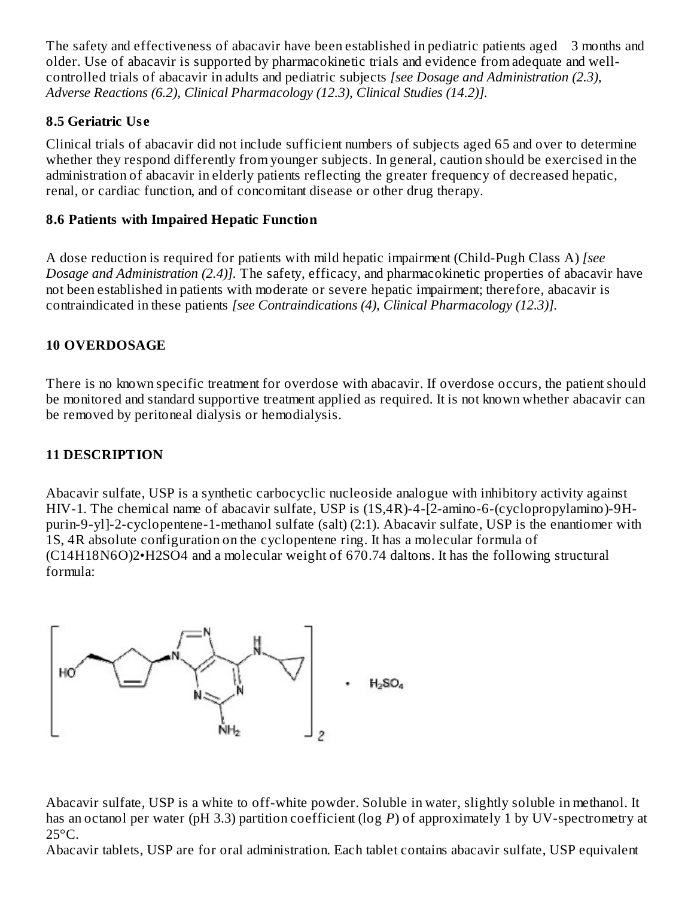The safety and effectiveness of abacavir have been established in pediatric patients aged 3 months and older. Use of abacavir is supported by pharmacokinetic trials and evidence from adequate and wellcontrolled trials of abacavir in adults and pediatric subjects *[see Dosage and Administration (2.3), Adverse Reactions (6.2), Clinical Pharmacology (12.3), Clinical Studies (14.2)].*

### **8.5 Geriatric Us e**

Clinical trials of abacavir did not include sufficient numbers of subjects aged 65 and over to determine whether they respond differently from younger subjects. In general, caution should be exercised in the administration of abacavir in elderly patients reflecting the greater frequency of decreased hepatic, renal, or cardiac function, and of concomitant disease or other drug therapy.

#### **8.6 Patients with Impaired Hepatic Function**

A dose reduction is required for patients with mild hepatic impairment (Child-Pugh Class A) *[see Dosage and Administration (2.4)].* The safety, efficacy, and pharmacokinetic properties of abacavir have not been established in patients with moderate or severe hepatic impairment; therefore, abacavir is contraindicated in these patients *[see Contraindications (4), Clinical Pharmacology (12.3)].*

### **10 OVERDOSAGE**

There is no known specific treatment for overdose with abacavir. If overdose occurs, the patient should be monitored and standard supportive treatment applied as required. It is not known whether abacavir can be removed by peritoneal dialysis or hemodialysis.

### **11 DESCRIPTION**

Abacavir sulfate, USP is a synthetic carbocyclic nucleoside analogue with inhibitory activity against HIV-1. The chemical name of abacavir sulfate, USP is (1S,4R)-4-[2-amino-6-(cyclopropylamino)-9Hpurin-9-yl]-2-cyclopentene-1-methanol sulfate (salt) (2:1). Abacavir sulfate, USP is the enantiomer with 1S, 4R absolute configuration on the cyclopentene ring. It has a molecular formula of (C14H18N6O)2•H2SO4 and a molecular weight of 670.74 daltons. It has the following structural formula:



Abacavir sulfate, USP is a white to off-white powder. Soluble in water, slightly soluble in methanol. It has an octanol per water (pH 3.3) partition coefficient (log *P*) of approximately 1 by UV-spectrometry at  $25^{\circ}$ C.

Abacavir tablets, USP are for oral administration. Each tablet contains abacavir sulfate, USP equivalent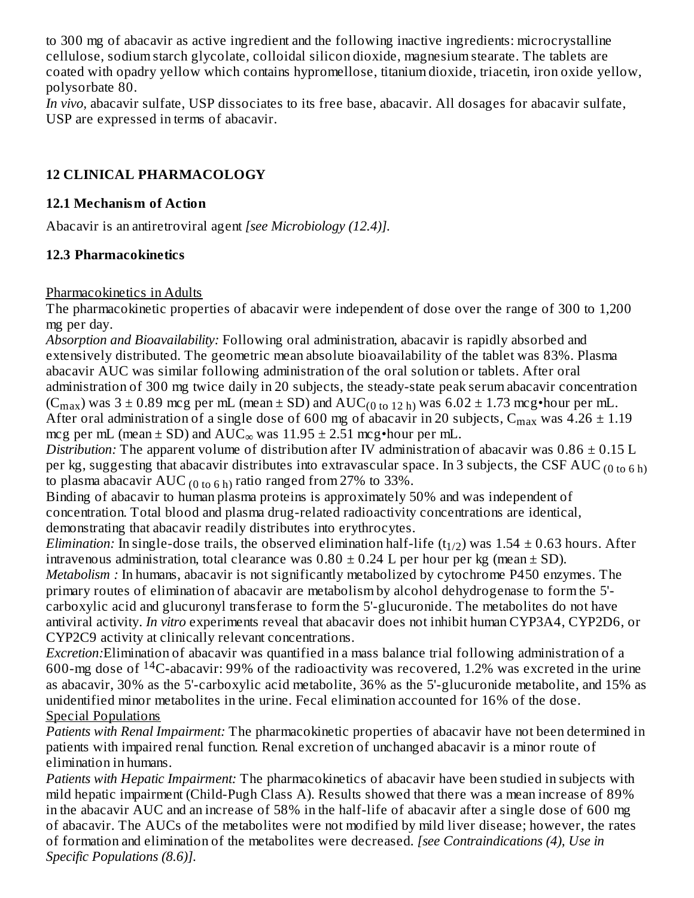to 300 mg of abacavir as active ingredient and the following inactive ingredients: microcrystalline cellulose, sodium starch glycolate, colloidal silicon dioxide, magnesium stearate. The tablets are coated with opadry yellow which contains hypromellose, titanium dioxide, triacetin, iron oxide yellow, polysorbate 80.

*In vivo,* abacavir sulfate, USP dissociates to its free base, abacavir. All dosages for abacavir sulfate, USP are expressed in terms of abacavir.

### **12 CLINICAL PHARMACOLOGY**

### **12.1 Mechanism of Action**

Abacavir is an antiretroviral agent *[see Microbiology (12.4)].*

### **12.3 Pharmacokinetics**

### Pharmacokinetics in Adults

The pharmacokinetic properties of abacavir were independent of dose over the range of 300 to 1,200 mg per day.

*Absorption and Bioavailability:* Following oral administration, abacavir is rapidly absorbed and extensively distributed. The geometric mean absolute bioavailability of the tablet was 83%. Plasma abacavir AUC was similar following administration of the oral solution or tablets. After oral administration of 300 mg twice daily in 20 subjects, the steady-state peak serum abacavir concentration  $(C_{\text{max}})$  was 3 ± 0.89 mcg per mL (mean ± SD) and  $AUC_{(0 \text{ to } 12 \text{ h})}$  was 6.02 ± 1.73 mcg•hour per mL. After oral administration of a single dose of 600 mg of abacavir in 20 subjects,  $\rm{C_{max}}$  was 4.26  $\pm$  1.19 mcg per mL (mean  $\pm$  SD) and AUC<sub>∞</sub> was 11.95  $\pm$  2.51 mcg•hour per mL.

*Distribution:* The apparent volume of distribution after IV administration of abacavir was 0.86 ± 0.15 L per kg, suggesting that abacavir distributes into extravascular space. In 3 subjects, the CSF AUC  $_{\rm (0~to~6~h)}$ to plasma abacavir  $\text{AUC}_{(0 \text{ to } 6 \text{ h})}$  ratio ranged from 27% to 33%.

Binding of abacavir to human plasma proteins is approximately 50% and was independent of concentration. Total blood and plasma drug-related radioactivity concentrations are identical, demonstrating that abacavir readily distributes into erythrocytes.

*Elimination:* In single-dose trails, the observed elimination half-life  $(t_{1/2})$  was  $1.54 \pm 0.63$  hours. After intravenous administration, total clearance was  $0.80 \pm 0.24$  L per hour per kg (mean  $\pm$  SD). *Metabolism :* In humans, abacavir is not significantly metabolized by cytochrome P450 enzymes. The

primary routes of elimination of abacavir are metabolism by alcohol dehydrogenase to form the 5' carboxylic acid and glucuronyl transferase to form the 5'-glucuronide. The metabolites do not have antiviral activity. *In vitro* experiments reveal that abacavir does not inhibit human CYP3A4, CYP2D6, or CYP2C9 activity at clinically relevant concentrations.

*Excretion:*Elimination of abacavir was quantified in a mass balance trial following administration of a 600-mg dose of <sup>14</sup>C-abacavir: 99% of the radioactivity was recovered, 1.2% was excreted in the urine as abacavir, 30% as the 5'-carboxylic acid metabolite, 36% as the 5'-glucuronide metabolite, and 15% as unidentified minor metabolites in the urine. Fecal elimination accounted for 16% of the dose. Special Populations

*Patients with Renal Impairment:* The pharmacokinetic properties of abacavir have not been determined in patients with impaired renal function. Renal excretion of unchanged abacavir is a minor route of elimination in humans.

*Patients with Hepatic Impairment:* The pharmacokinetics of abacavir have been studied in subjects with mild hepatic impairment (Child-Pugh Class A). Results showed that there was a mean increase of 89% in the abacavir AUC and an increase of 58% in the half-life of abacavir after a single dose of 600 mg of abacavir. The AUCs of the metabolites were not modified by mild liver disease; however, the rates of formation and elimination of the metabolites were decreased. *[see Contraindications (4), Use in Specific Populations (8.6)].*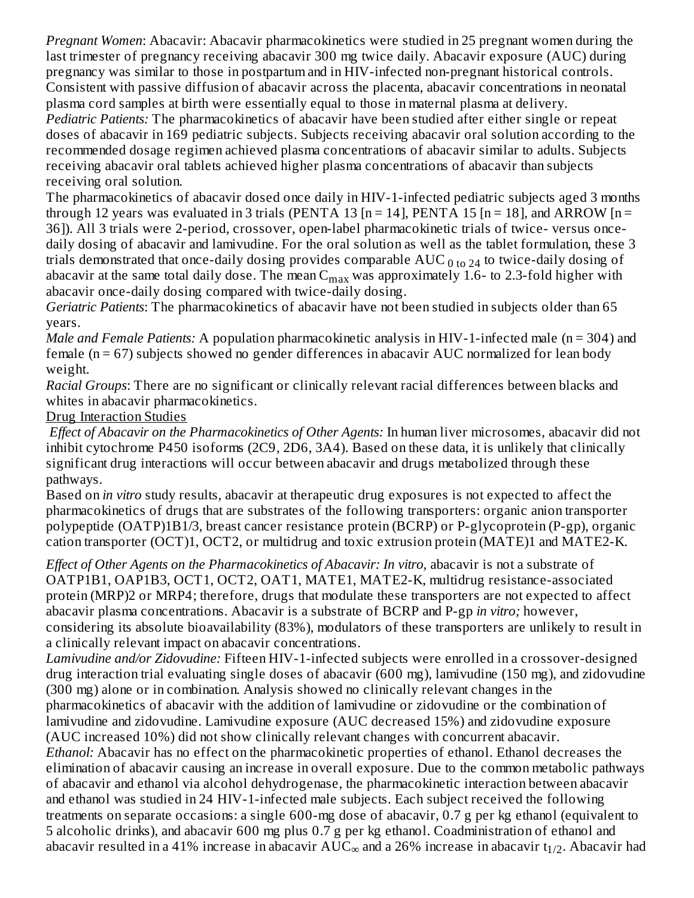*Pregnant Women*: Abacavir: Abacavir pharmacokinetics were studied in 25 pregnant women during the last trimester of pregnancy receiving abacavir 300 mg twice daily. Abacavir exposure (AUC) during pregnancy was similar to those in postpartum and in HIV-infected non-pregnant historical controls. Consistent with passive diffusion of abacavir across the placenta, abacavir concentrations in neonatal plasma cord samples at birth were essentially equal to those in maternal plasma at delivery. *Pediatric Patients:* The pharmacokinetics of abacavir have been studied after either single or repeat doses of abacavir in 169 pediatric subjects. Subjects receiving abacavir oral solution according to the recommended dosage regimen achieved plasma concentrations of abacavir similar to adults. Subjects receiving abacavir oral tablets achieved higher plasma concentrations of abacavir than subjects receiving oral solution.

The pharmacokinetics of abacavir dosed once daily in HIV-1-infected pediatric subjects aged 3 months through 12 years was evaluated in 3 trials (PENTA 13  $[n = 14]$ , PENTA 15  $[n = 18]$ , and ARROW  $[n = 16]$ 36]). All 3 trials were 2-period, crossover, open-label pharmacokinetic trials of twice- versus oncedaily dosing of abacavir and lamivudine. For the oral solution as well as the tablet formulation, these 3 trials demonstrated that once-daily dosing provides comparable  $\mathrm{AUC_{0\,to\,24}}$  to twice-daily dosing of abacavir at the same total daily dose. The mean  $\rm{C_{max}}$  was approximately 1.6- to 2.3-fold higher with abacavir once-daily dosing compared with twice-daily dosing.

*Geriatric Patients*: The pharmacokinetics of abacavir have not been studied in subjects older than 65 years.

*Male and Female Patients:* A population pharmacokinetic analysis in HIV-1-infected male (n = 304) and female (n = 67) subjects showed no gender differences in abacavir AUC normalized for lean body weight.

*Racial Groups*: There are no significant or clinically relevant racial differences between blacks and whites in abacavir pharmacokinetics.

#### Drug Interaction Studies

*Effect of Abacavir on the Pharmacokinetics of Other Agents:* In human liver microsomes, abacavir did not inhibit cytochrome P450 isoforms (2C9, 2D6, 3A4). Based on these data, it is unlikely that clinically significant drug interactions will occur between abacavir and drugs metabolized through these pathways.

Based on *in vitro* study results, abacavir at therapeutic drug exposures is not expected to affect the pharmacokinetics of drugs that are substrates of the following transporters: organic anion transporter polypeptide (OATP)1B1/3, breast cancer resistance protein (BCRP) or P-glycoprotein (P-gp), organic cation transporter (OCT)1, OCT2, or multidrug and toxic extrusion protein (MATE)1 and MATE2-K.

*Effect of Other Agents on the Pharmacokinetics of Abacavir: In vitro,* abacavir is not a substrate of OATP1B1, OAP1B3, OCT1, OCT2, OAT1, MATE1, MATE2-K, multidrug resistance-associated protein (MRP)2 or MRP4; therefore, drugs that modulate these transporters are not expected to affect abacavir plasma concentrations. Abacavir is a substrate of BCRP and P-gp *in vitro;* however, considering its absolute bioavailability (83%), modulators of these transporters are unlikely to result in a clinically relevant impact on abacavir concentrations.

*Lamivudine and/or Zidovudine:* Fifteen HIV-1-infected subjects were enrolled in a crossover-designed drug interaction trial evaluating single doses of abacavir (600 mg), lamivudine (150 mg), and zidovudine (300 mg) alone or in combination. Analysis showed no clinically relevant changes in the pharmacokinetics of abacavir with the addition of lamivudine or zidovudine or the combination of lamivudine and zidovudine. Lamivudine exposure (AUC decreased 15%) and zidovudine exposure (AUC increased 10%) did not show clinically relevant changes with concurrent abacavir. *Ethanol:* Abacavir has no effect on the pharmacokinetic properties of ethanol. Ethanol decreases the elimination of abacavir causing an increase in overall exposure. Due to the common metabolic pathways of abacavir and ethanol via alcohol dehydrogenase, the pharmacokinetic interaction between abacavir and ethanol was studied in 24 HIV-1-infected male subjects. Each subject received the following treatments on separate occasions: a single 600-mg dose of abacavir, 0.7 g per kg ethanol (equivalent to 5 alcoholic drinks), and abacavir 600 mg plus 0.7 g per kg ethanol. Coadministration of ethanol and abacavir resulted in a 41% increase in abacavir  $\text{AUC}_\infty$  and a 26% increase in abacavir t $_{1/2}.$  Abacavir had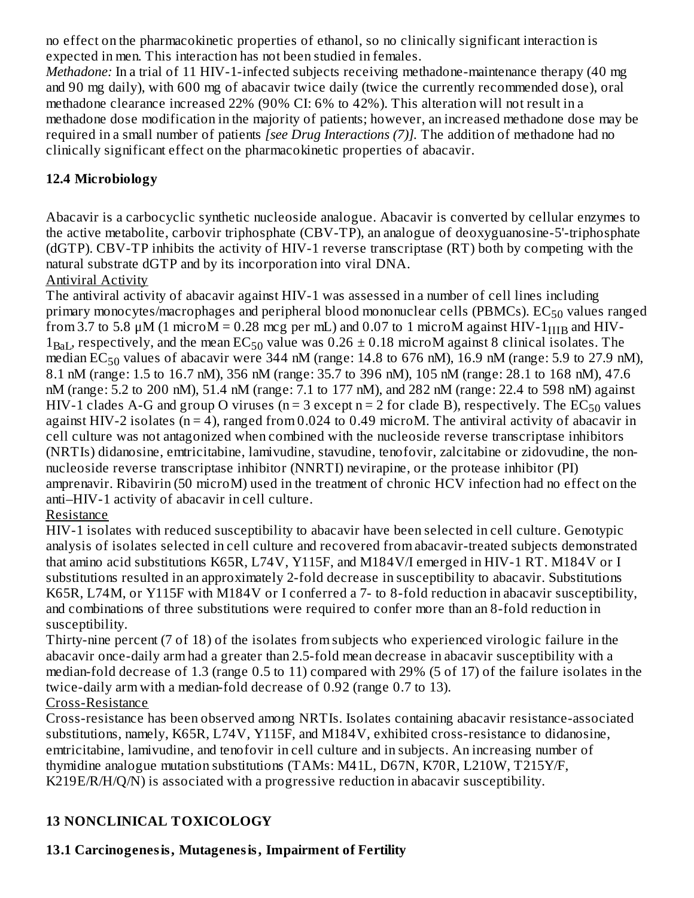no effect on the pharmacokinetic properties of ethanol, so no clinically significant interaction is expected in men. This interaction has not been studied in females. ∞ 1/2 ∞ 1/2 ∞ 1/2 ∞ 1/2 ∞ 1/2 ∞ 1/2 ∞ 1/2 ∞ 1/2 ∞ 1/2 ∞ 1/2 ∞ 1/2 ∞ 1/2 ∞ 1/2 ∞ 1/2 ∞ 1/2 ∞ 1/2 ∞ 1/2 ∞ 1/2 ∞<br>→ 1/2 ∞ 1/2 ∞ 1/2 ∞ 1/2 ∞ 1/2 ∞ 1/2 ∞ 1/2 ∞ 1/2 ∞ 1/2 ∞ 1/2 ∞ 1/2 ∞ 1/2 ∞ 1/2 ∞ 1/2 ∞ 1/2 ∞ 1/2 ∞ 1/2 ∞ 1/2 ∞

*Methadone:* In a trial of 11 HIV-1-infected subjects receiving methadone-maintenance therapy (40 mg and 90 mg daily), with 600 mg of abacavir twice daily (twice the currently recommended dose), oral methadone clearance increased 22% (90% CI: 6% to 42%). This alteration will not result in a methadone dose modification in the majority of patients; however, an increased methadone dose may be required in a small number of patients *[see Drug Interactions (7)].* The addition of methadone had no clinically significant effect on the pharmacokinetic properties of abacavir.

### **12.4 Microbiology**

Abacavir is a carbocyclic synthetic nucleoside analogue. Abacavir is converted by cellular enzymes to the active metabolite, carbovir triphosphate (CBV-TP), an analogue of deoxyguanosine-5'-triphosphate (dGTP). CBV-TP inhibits the activity of HIV-1 reverse transcriptase (RT) both by competing with the natural substrate dGTP and by its incorporation into viral DNA.

**Antiviral Activity** 

The antiviral activity of abacavir against HIV-1 was assessed in a number of cell lines including primary monocytes/macrophages and peripheral blood mononuclear cells (PBMCs).  $\mathrm{EC}_{50}$  values ranged from 3.7 to 5.8 μM (1 microM = 0.28 mcg per mL) and 0.07 to 1 microM against HIV-1 $_{\rm IIIB}$  and HIV- $1_{\text{Bal}}$ , respectively, and the mean EC<sub>50</sub> value was 0.26  $\pm$  0.18 microM against 8 clinical isolates. The median EC $_{50}$  values of abacavir were 344 nM (range: 14.8 to 676 nM), 16.9 nM (range: 5.9 to 27.9 nM), 8.1 nM (range: 1.5 to 16.7 nM), 356 nM (range: 35.7 to 396 nM), 105 nM (range: 28.1 to 168 nM), 47.6 nM (range: 5.2 to 200 nM), 51.4 nM (range: 7.1 to 177 nM), and 282 nM (range: 22.4 to 598 nM) against HIV-1 clades A-G and group O viruses (n = 3 except n = 2 for clade B), respectively. The  $\mathrm{EC}_{50}$  values against HIV-2 isolates ( $n = 4$ ), ranged from 0.024 to 0.49 microM. The antiviral activity of abacavir in cell culture was not antagonized when combined with the nucleoside reverse transcriptase inhibitors (NRTIs) didanosine, emtricitabine, lamivudine, stavudine, tenofovir, zalcitabine or zidovudine, the nonnucleoside reverse transcriptase inhibitor (NNRTI) nevirapine, or the protease inhibitor (PI) amprenavir. Ribavirin (50 microM) used in the treatment of chronic HCV infection had no effect on the anti–HIV-1 activity of abacavir in cell culture.

### Resistance

HIV-1 isolates with reduced susceptibility to abacavir have been selected in cell culture. Genotypic analysis of isolates selected in cell culture and recovered from abacavir-treated subjects demonstrated that amino acid substitutions K65R, L74V, Y115F, and M184V/I emerged in HIV-1 RT. M184V or I substitutions resulted in an approximately 2-fold decrease in susceptibility to abacavir. Substitutions K65R, L74M, or Y115F with M184V or I conferred a 7- to 8-fold reduction in abacavir susceptibility, and combinations of three substitutions were required to confer more than an 8-fold reduction in susceptibility.

Thirty-nine percent (7 of 18) of the isolates from subjects who experienced virologic failure in the abacavir once-daily arm had a greater than 2.5-fold mean decrease in abacavir susceptibility with a median-fold decrease of 1.3 (range 0.5 to 11) compared with 29% (5 of 17) of the failure isolates in the twice-daily arm with a median-fold decrease of 0.92 (range 0.7 to 13).

### Cross-Resistance

Cross-resistance has been observed among NRTIs. Isolates containing abacavir resistance-associated substitutions, namely, K65R, L74V, Y115F, and M184V, exhibited cross-resistance to didanosine, emtricitabine, lamivudine, and tenofovir in cell culture and in subjects. An increasing number of thymidine analogue mutation substitutions (TAMs: M41L, D67N, K70R, L210W, T215Y/F, K219E/R/H/Q/N) is associated with a progressive reduction in abacavir susceptibility.

## **13 NONCLINICAL TOXICOLOGY**

### **13.1 Carcinogenesis, Mutagenesis, Impairment of Fertility**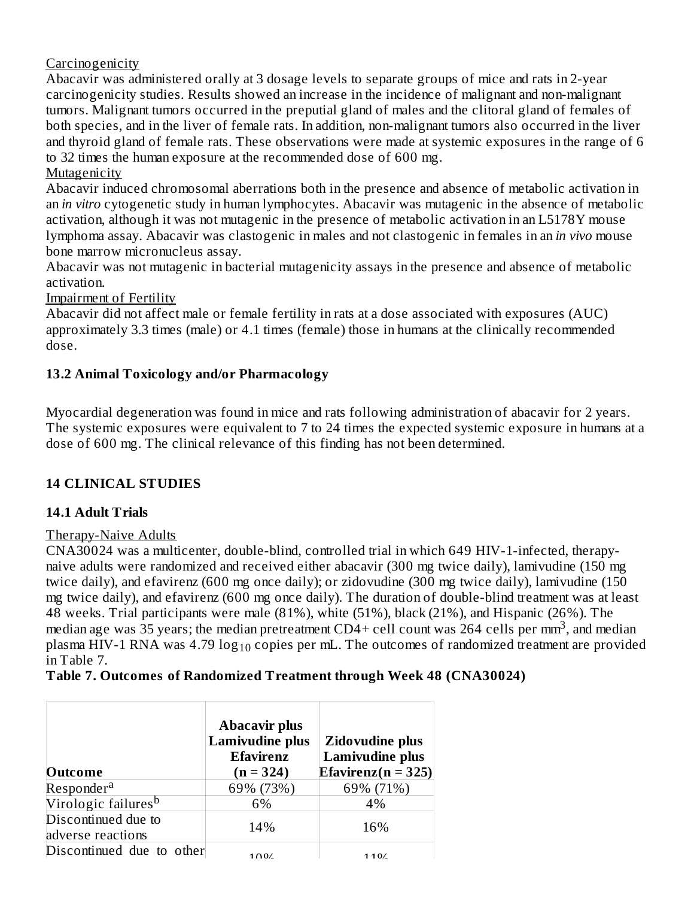#### **Carcinogenicity**

Abacavir was administered orally at 3 dosage levels to separate groups of mice and rats in 2-year carcinogenicity studies. Results showed an increase in the incidence of malignant and non-malignant tumors. Malignant tumors occurred in the preputial gland of males and the clitoral gland of females of both species, and in the liver of female rats. In addition, non-malignant tumors also occurred in the liver and thyroid gland of female rats. These observations were made at systemic exposures in the range of 6 to 32 times the human exposure at the recommended dose of 600 mg.

### Mutagenicity

Abacavir induced chromosomal aberrations both in the presence and absence of metabolic activation in an *in vitro* cytogenetic study in human lymphocytes. Abacavir was mutagenic in the absence of metabolic activation, although it was not mutagenic in the presence of metabolic activation in an L5178Y mouse lymphoma assay. Abacavir was clastogenic in males and not clastogenic in females in an *in vivo* mouse bone marrow micronucleus assay.

Abacavir was not mutagenic in bacterial mutagenicity assays in the presence and absence of metabolic activation.

Impairment of Fertility

Abacavir did not affect male or female fertility in rats at a dose associated with exposures (AUC) approximately 3.3 times (male) or 4.1 times (female) those in humans at the clinically recommended dose.

### **13.2 Animal Toxicology and/or Pharmacology**

Myocardial degeneration was found in mice and rats following administration of abacavir for 2 years. The systemic exposures were equivalent to 7 to 24 times the expected systemic exposure in humans at a dose of 600 mg. The clinical relevance of this finding has not been determined.

### **14 CLINICAL STUDIES**

#### **14.1 Adult Trials**

#### Therapy-Naive Adults

CNA30024 was a multicenter, double-blind, controlled trial in which 649 HIV-1-infected, therapynaive adults were randomized and received either abacavir (300 mg twice daily), lamivudine (150 mg twice daily), and efavirenz (600 mg once daily); or zidovudine (300 mg twice daily), lamivudine (150 mg twice daily), and efavirenz (600 mg once daily). The duration of double-blind treatment was at least 48 weeks. Trial participants were male (81%), white (51%), black (21%), and Hispanic (26%). The median age was 35 years; the median pretreatment CD4+ cell count was 264 cells per mm<sup>3</sup>, and median plasma HIV-1 RNA was 4.79  $\log_{10}$  copies per mL. The outcomes of randomized treatment are provided in Table 7.

#### **Table 7. Outcomes of Randomized Treatment through Week 48 (CNA30024)**

| <b>Outcome</b>                           | <b>Abacavir plus</b><br>Lamivudine plus<br><b>Efavirenz</b><br>$(n = 324)$ | <b>Zidovudine plus</b><br><b>Lamivudine plus</b><br>Efavirenz( $n = 325$ ) |
|------------------------------------------|----------------------------------------------------------------------------|----------------------------------------------------------------------------|
| Responder <sup>a</sup>                   | 69% (73%)                                                                  | 69% (71%)                                                                  |
| Virologic failures <sup>b</sup>          | 6%                                                                         | 4%                                                                         |
| Discontinued due to<br>adverse reactions | 14%                                                                        | 16%                                                                        |
| Discontinued due to other                | 100/                                                                       | 110/                                                                       |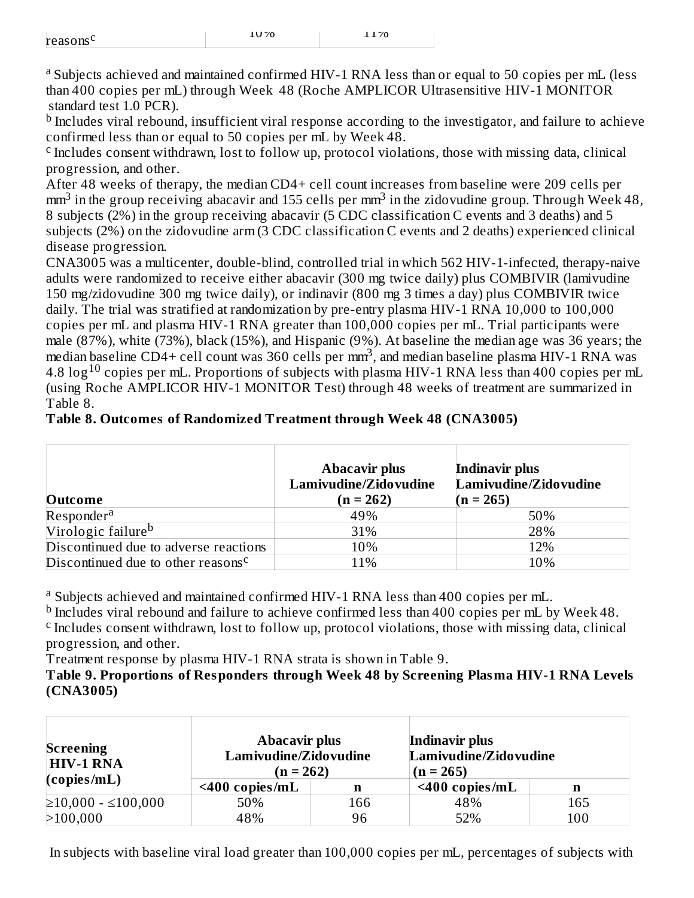<sup>a</sup> Subjects achieved and maintained confirmed HIV-1 RNA less than or equal to 50 copies per mL (less than 400 copies per mL) through Week 48 (Roche AMPLICOR Ultrasensitive HIV-1 MONITOR standard test 1.0 PCR).

 $^{\rm b}$  Includes viral rebound, insufficient viral response according to the investigator, and failure to achieve confirmed less than or equal to 50 copies per mL by Week 48.

<sup>c</sup> Includes consent withdrawn, lost to follow up, protocol violations, those with missing data, clinical progression, and other.

After 48 weeks of therapy, the median CD4+ cell count increases from baseline were 209 cells per  $\text{mm}^3$  in the group receiving abacavir and 155 cells per m $\text{m}^3$  in the zidovudine group. Through Week 48, 8 subjects (2%) in the group receiving abacavir (5 CDC classification C events and 3 deaths) and 5 subjects (2%) on the zidovudine arm (3 CDC classification C events and 2 deaths) experienced clinical disease progression.

CNA3005 was a multicenter, double-blind, controlled trial in which 562 HIV-1-infected, therapy-naive adults were randomized to receive either abacavir (300 mg twice daily) plus COMBIVIR (lamivudine 150 mg/zidovudine 300 mg twice daily), or indinavir (800 mg 3 times a day) plus COMBIVIR twice daily. The trial was stratified at randomization by pre-entry plasma HIV-1 RNA 10,000 to 100,000 copies per mL and plasma HIV-1 RNA greater than 100,000 copies per mL. Trial participants were male (87%), white (73%), black (15%), and Hispanic (9%). At baseline the median age was 36 years; the median baseline CD4+ cell count was 360 cells per  $mm<sup>3</sup>$ , and median baseline plasma HIV-1 RNA was 4.8  $\log^{10}$  copies per mL. Proportions of subjects with plasma HIV-1 RNA less than 400 copies per mL (using Roche AMPLICOR HIV-1 MONITOR Test) through 48 weeks of treatment are summarized in Table 8.

### **Table 8. Outcomes of Randomized Treatment through Week 48 (CNA3005)**

| <b>Outcome</b>                                 | <b>Abacavir plus</b><br>Lamivudine/Zidovudine<br>$(n = 262)$ | <b>Indinavir plus</b><br>Lamivudine/Zidovudine<br>$(n = 265)$ |
|------------------------------------------------|--------------------------------------------------------------|---------------------------------------------------------------|
| Responder <sup>a</sup>                         | 49%                                                          | 50%                                                           |
| Virologic failure <sup>b</sup>                 | 31%                                                          | 28%                                                           |
| Discontinued due to adverse reactions          | 10%                                                          | 12%                                                           |
| Discontinued due to other reasons <sup>c</sup> | 11%                                                          | 10%                                                           |

<sup>a</sup> Subjects achieved and maintained confirmed HIV-1 RNA less than 400 copies per mL.

 $^{\rm b}$  Includes viral rebound and failure to achieve confirmed less than 400 copies per mL by Week 48. <sup>c</sup> Includes consent withdrawn, lost to follow up, protocol violations, those with missing data, clinical progression, and other.

Treatment response by plasma HIV-1 RNA strata is shown in Table 9.

**Table 9. Proportions of Responders through Week 48 by Screening Plasma HIV-1 RNA Levels (CNA3005)**

| <b>Screening</b><br><b>HIV-1 RNA</b> | Abacavir plus<br>Lamivudine/Zidovudine<br>$(n = 262)$ |     | Indinavir plus<br>$(n = 265)$ | Lamivudine/Zidovudine |  |  |
|--------------------------------------|-------------------------------------------------------|-----|-------------------------------|-----------------------|--|--|
| (copies/mL)                          | $\leq$ 400 copies/mL                                  | n   | $<$ 400 copies/mL             | n                     |  |  |
| $≥10,000 - ≤100,000$                 | 50%                                                   | 166 | 48%                           | 165                   |  |  |
| >100,000                             | 48%                                                   | 96  | 52%                           | 100                   |  |  |

In subjects with baseline viral load greater than 100,000 copies per mL, percentages of subjects with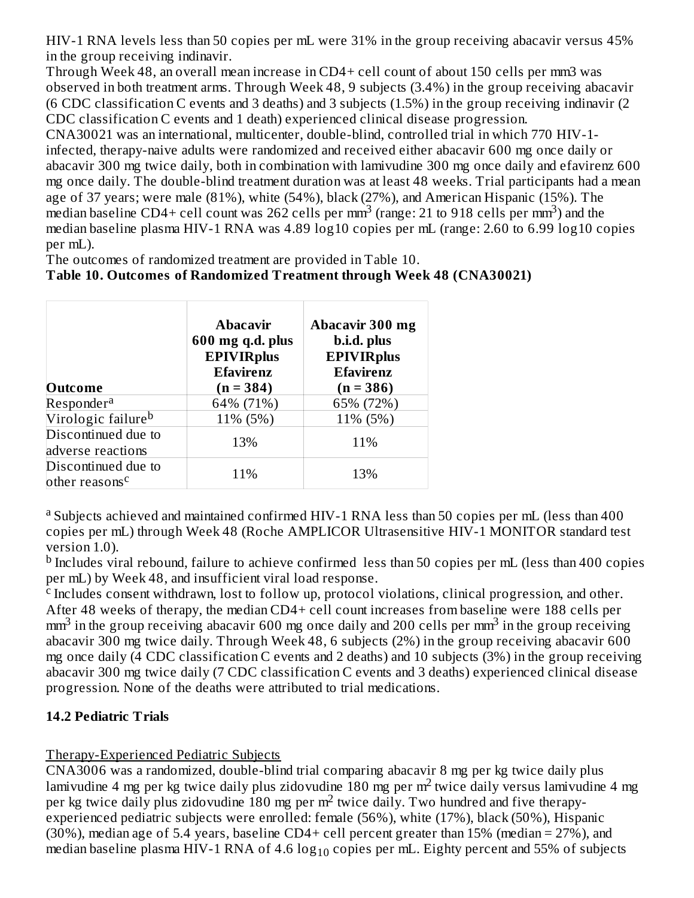HIV-1 RNA levels less than 50 copies per mL were 31% in the group receiving abacavir versus 45% in the group receiving indinavir.

Through Week 48, an overall mean increase in CD4+ cell count of about 150 cells per mm3 was observed in both treatment arms. Through Week 48, 9 subjects (3.4%) in the group receiving abacavir (6 CDC classification C events and 3 deaths) and 3 subjects (1.5%) in the group receiving indinavir (2 CDC classification C events and 1 death) experienced clinical disease progression.

CNA30021 was an international, multicenter, double-blind, controlled trial in which 770 HIV-1 infected, therapy-naive adults were randomized and received either abacavir 600 mg once daily or abacavir 300 mg twice daily, both in combination with lamivudine 300 mg once daily and efavirenz 600 mg once daily. The double-blind treatment duration was at least 48 weeks. Trial participants had a mean age of 37 years; were male (81%), white (54%), black (27%), and American Hispanic (15%). The median baseline CD4+ cell count was 262 cells per  $mm<sup>3</sup>$  (range: 21 to 918 cells per  $mm<sup>3</sup>$ ) and the median baseline plasma HIV-1 RNA was 4.89 log10 copies per mL (range: 2.60 to 6.99 log10 copies per mL).

The outcomes of randomized treatment are provided in Table 10.

### **Table 10. Outcomes of Randomized Treatment through Week 48 (CNA30021)**

| <b>Outcome</b>                                    | Abacavir<br>600 mg q.d. plus<br><b>EPIVIRplus</b><br>Efavirenz<br>$(n = 384)$ | Abacavir 300 mg<br>b.i.d. plus<br><b>EPIVIRplus</b><br><b>Efavirenz</b><br>$(n = 386)$ |  |  |
|---------------------------------------------------|-------------------------------------------------------------------------------|----------------------------------------------------------------------------------------|--|--|
| Responder <sup>a</sup>                            | 64% (71%)                                                                     | 65% (72%)                                                                              |  |  |
| Virologic failure <sup>b</sup>                    | 11% (5%)                                                                      | 11% (5%)                                                                               |  |  |
| Discontinued due to<br>adverse reactions          | 13%                                                                           | 11%                                                                                    |  |  |
| Discontinued due to<br>other reasons <sup>c</sup> | 11%                                                                           | 13%                                                                                    |  |  |

<sup>a</sup> Subjects achieved and maintained confirmed HIV-1 RNA less than 50 copies per mL (less than 400 copies per mL) through Week 48 (Roche AMPLICOR Ultrasensitive HIV-1 MONITOR standard test version 1.0).

<sup>b</sup> Includes viral rebound, failure to achieve confirmed less than 50 copies per mL (less than 400 copies per mL) by Week 48, and insufficient viral load response.

 $\epsilon$  Includes consent withdrawn, lost to follow up, protocol violations, clinical progression, and other. After 48 weeks of therapy, the median CD4+ cell count increases from baseline were 188 cells per  $\text{mm}^3$  in the group receiving abacavir 600 mg once daily and 200 cells per mm<sup>3</sup> in the group receiving abacavir 300 mg twice daily. Through Week 48, 6 subjects (2%) in the group receiving abacavir 600 mg once daily (4 CDC classification C events and 2 deaths) and 10 subjects (3%) in the group receiving abacavir 300 mg twice daily (7 CDC classification C events and 3 deaths) experienced clinical disease progression. None of the deaths were attributed to trial medications.

#### **14.2 Pediatric Trials**

## Therapy-Experienced Pediatric Subjects

CNA3006 was a randomized, double-blind trial comparing abacavir 8 mg per kg twice daily plus lamivudine 4 mg per kg twice daily plus zidovudine 180 mg per m<sup>2</sup> twice daily versus lamivudine 4 mg per kg twice daily plus zidovudine 180 mg per  $m^2$  twice daily. Two hundred and five therapyexperienced pediatric subjects were enrolled: female (56%), white (17%), black (50%), Hispanic (30%), median age of 5.4 years, baseline CD4+ cell percent greater than 15% (median = 27%), and median baseline plasma HIV-1 RNA of 4.6  $\log_{10}$  copies per mL. Eighty percent and 55% of subjects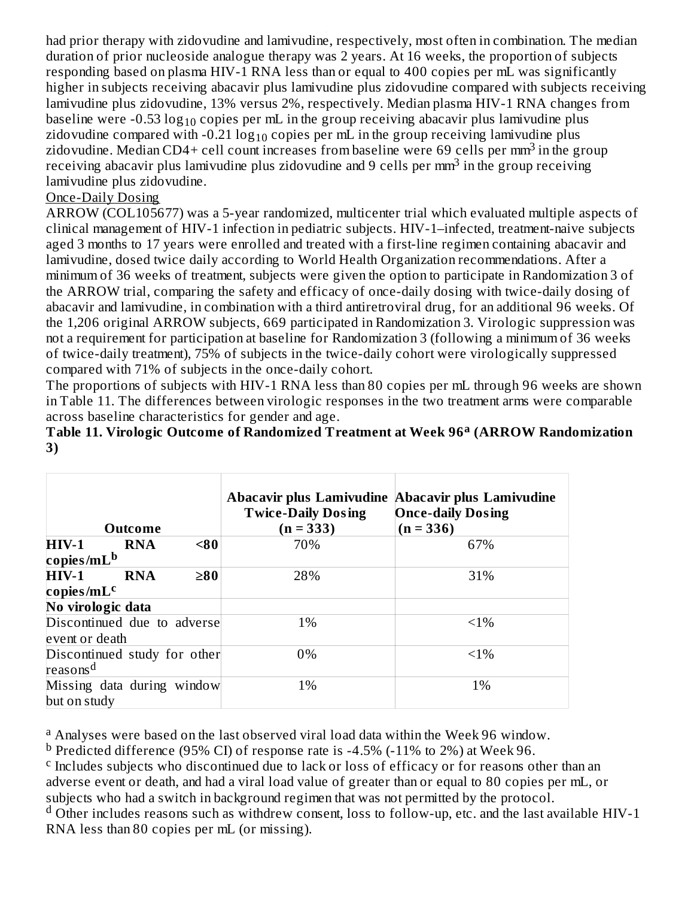had prior therapy with zidovudine and lamivudine, respectively, most often in combination. The median duration of prior nucleoside analogue therapy was 2 years. At 16 weeks, the proportion of subjects responding based on plasma HIV-1 RNA less than or equal to 400 copies per mL was significantly higher in subjects receiving abacavir plus lamivudine plus zidovudine compared with subjects receiving lamivudine plus zidovudine, 13% versus 2%, respectively. Median plasma HIV-1 RNA changes from baseline were -0.53  $\log_{10}$  copies per mL in the group receiving abacavir plus lamivudine plus zidovudine compared with -0.21  $\log_{10}$  copies per mL in the group receiving lamivudine plus zidovudine. Median CD4+ cell count increases from baseline were 69 cells per mm<sup>3</sup> in the group receiving abacavir plus lamivudine plus zidovudine and 9 cells per mm $^3$  in the group receiving lamivudine plus zidovudine.  $\frac{1}{2}$ 

#### Once-Daily Dosing

ARROW (COL105677) was a 5-year randomized, multicenter trial which evaluated multiple aspects of clinical management of HIV-1 infection in pediatric subjects. HIV-1–infected, treatment-naive subjects aged 3 months to 17 years were enrolled and treated with a first-line regimen containing abacavir and lamivudine, dosed twice daily according to World Health Organization recommendations. After a minimum of 36 weeks of treatment, subjects were given the option to participate in Randomization 3 of the ARROW trial, comparing the safety and efficacy of once-daily dosing with twice-daily dosing of abacavir and lamivudine, in combination with a third antiretroviral drug, for an additional 96 weeks. Of the 1,206 original ARROW subjects, 669 participated in Randomization 3. Virologic suppression was not a requirement for participation at baseline for Randomization 3 (following a minimum of 36 weeks of twice-daily treatment), 75% of subjects in the twice-daily cohort were virologically suppressed compared with 71% of subjects in the once-daily cohort.

The proportions of subjects with HIV-1 RNA less than 80 copies per mL through 96 weeks are shown in Table 11. The differences between virologic responses in the two treatment arms were comparable across baseline characteristics for gender and age.

#### **Table 11. Virologic Outcome of Randomized Treatment at Week 96 (ARROW Randomization a 3)**

|                                            | <b>Outcome</b> |           | Abacavir plus Lamivudine Abacavir plus Lamivudine<br><b>Twice-Daily Dosing</b><br>$(n = 333)$ | <b>Once-daily Dosing</b><br>$(n = 336)$ |
|--------------------------------------------|----------------|-----------|-----------------------------------------------------------------------------------------------|-----------------------------------------|
| $HIV-1$                                    | <b>RNA</b>     | $80$      | 70%                                                                                           | 67%                                     |
| $\frac{1}{2}$ copies/mL <sup>b</sup>       |                |           |                                                                                               |                                         |
| $HIV-1$                                    | <b>RNA</b>     | $\geq 80$ | 28%                                                                                           | 31%                                     |
| $\mathbf{copies}/\mathbf{mL}^{\mathbf{c}}$ |                |           |                                                                                               |                                         |
| No virologic data                          |                |           |                                                                                               |                                         |
| Discontinued due to adverse                |                |           | 1%                                                                                            | $< 1\%$                                 |
| event or death                             |                |           |                                                                                               |                                         |
| Discontinued study for other               |                |           | $0\%$                                                                                         | $<1\%$                                  |
| reasons <sup>d</sup>                       |                |           |                                                                                               |                                         |
| Missing data during window                 |                |           | 1%                                                                                            | 1%                                      |
| but on study                               |                |           |                                                                                               |                                         |

<sup>a</sup> Analyses were based on the last observed viral load data within the Week 96 window.

 $^{\rm b}$  Predicted difference (95% CI) of response rate is -4.5% (-11% to 2%) at Week 96.

<sup>c</sup> Includes subjects who discontinued due to lack or loss of efficacy or for reasons other than an adverse event or death, and had a viral load value of greater than or equal to 80 copies per mL, or subjects who had a switch in background regimen that was not permitted by the protocol.

d Other includes reasons such as withdrew consent, loss to follow-up, etc. and the last available HIV-1 RNA less than 80 copies per mL (or missing).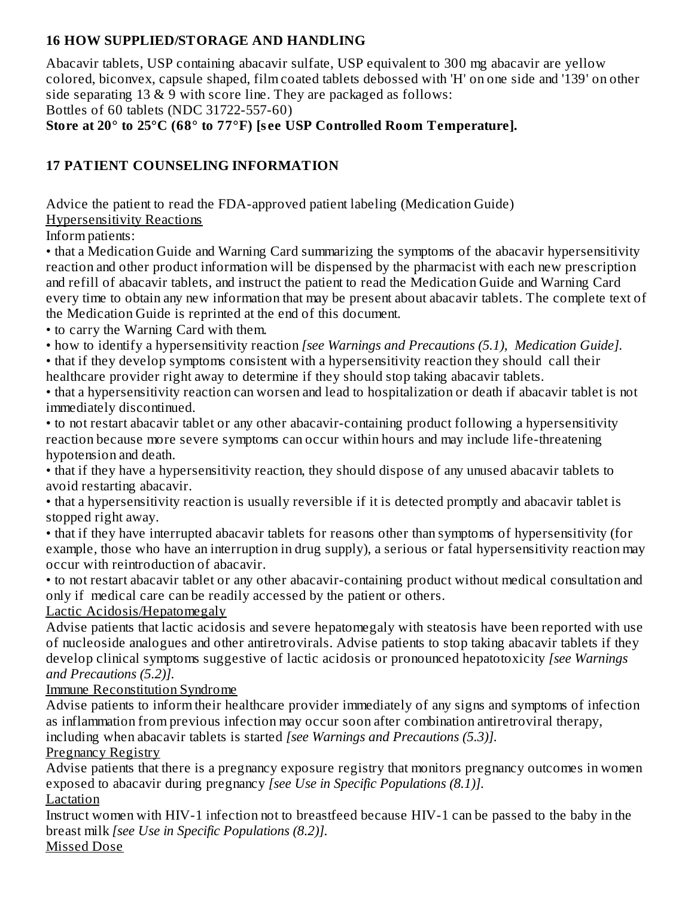### **16 HOW SUPPLIED/STORAGE AND HANDLING**

Abacavir tablets, USP containing abacavir sulfate, USP equivalent to 300 mg abacavir are yellow colored, biconvex, capsule shaped, film coated tablets debossed with 'H' on one side and '139' on other side separating 13 & 9 with score line. They are packaged as follows: Bottles of 60 tablets (NDC 31722-557-60)

**Store at 20° to 25°C (68° to 77°F) [s ee USP Controlled Room Temperature].**

### **17 PATIENT COUNSELING INFORMATION**

Advice the patient to read the FDA-approved patient labeling (Medication Guide)

Hypersensitivity Reactions

Inform patients:

• that a Medication Guide and Warning Card summarizing the symptoms of the abacavir hypersensitivity reaction and other product information will be dispensed by the pharmacist with each new prescription and refill of abacavir tablets, and instruct the patient to read the Medication Guide and Warning Card every time to obtain any new information that may be present about abacavir tablets. The complete text of the Medication Guide is reprinted at the end of this document.

• to carry the Warning Card with them.

• how to identify a hypersensitivity reaction *[see Warnings and Precautions (5.1), Medication Guide].*

• that if they develop symptoms consistent with a hypersensitivity reaction they should call their healthcare provider right away to determine if they should stop taking abacavir tablets.

• that a hypersensitivity reaction can worsen and lead to hospitalization or death if abacavir tablet is not immediately discontinued.

• to not restart abacavir tablet or any other abacavir-containing product following a hypersensitivity reaction because more severe symptoms can occur within hours and may include life-threatening hypotension and death.

• that if they have a hypersensitivity reaction, they should dispose of any unused abacavir tablets to avoid restarting abacavir.

• that a hypersensitivity reaction is usually reversible if it is detected promptly and abacavir tablet is stopped right away.

• that if they have interrupted abacavir tablets for reasons other than symptoms of hypersensitivity (for example, those who have an interruption in drug supply), a serious or fatal hypersensitivity reaction may occur with reintroduction of abacavir.

• to not restart abacavir tablet or any other abacavir-containing product without medical consultation and only if medical care can be readily accessed by the patient or others.

Lactic Acidosis/Hepatomegaly

Advise patients that lactic acidosis and severe hepatomegaly with steatosis have been reported with use of nucleoside analogues and other antiretrovirals. Advise patients to stop taking abacavir tablets if they develop clinical symptoms suggestive of lactic acidosis or pronounced hepatotoxicity *[see Warnings and Precautions (5.2)].*

### Immune Reconstitution Syndrome

Advise patients to inform their healthcare provider immediately of any signs and symptoms of infection as inflammation from previous infection may occur soon after combination antiretroviral therapy, including when abacavir tablets is started *[see Warnings and Precautions (5.3)].*

Pregnancy Registry

Advise patients that there is a pregnancy exposure registry that monitors pregnancy outcomes in women exposed to abacavir during pregnancy *[see Use in Specific Populations (8.1)].* Lactation

Instruct women with HIV-1 infection not to breastfeed because HIV-1 can be passed to the baby in the breast milk *[see Use in Specific Populations (8.2)].*

Missed Dose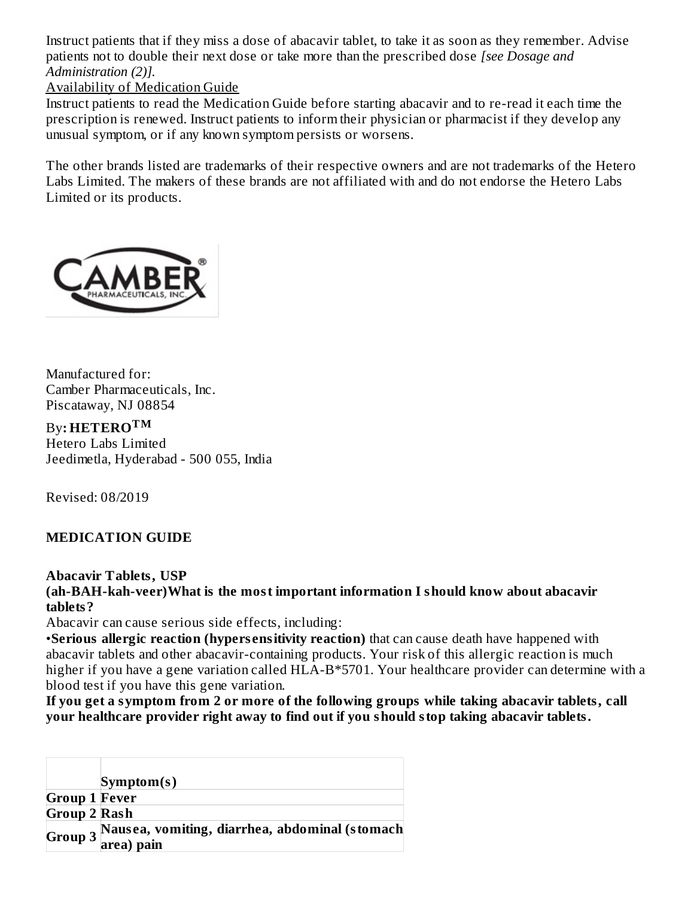Instruct patients that if they miss a dose of abacavir tablet, to take it as soon as they remember. Advise patients not to double their next dose or take more than the prescribed dose *[see Dosage and Administration (2)].*

Availability of Medication Guide

Instruct patients to read the Medication Guide before starting abacavir and to re-read it each time the prescription is renewed. Instruct patients to inform their physician or pharmacist if they develop any unusual symptom, or if any known symptom persists or worsens.

The other brands listed are trademarks of their respective owners and are not trademarks of the Hetero Labs Limited. The makers of these brands are not affiliated with and do not endorse the Hetero Labs Limited or its products.



Manufactured for: Camber Pharmaceuticals, Inc. Piscataway, NJ 08854

By**: HETERO TM**Hetero Labs Limited Jeedimetla, Hyderabad - 500 055, India

Revised: 08/2019

#### **MEDICATION GUIDE**

**Abacavir Tablets, USP**

**(ah-BAH-kah-veer)What is the most important information I should know about abacavir tablets?**

Abacavir can cause serious side effects, including:

•**Serious allergic reaction (hypers ensitivity reaction)** that can cause death have happened with abacavir tablets and other abacavir-containing products. Your risk of this allergic reaction is much higher if you have a gene variation called HLA-B\*5701. Your healthcare provider can determine with a blood test if you have this gene variation.

**If you get a symptom from 2 or more of the following groups while taking abacavir tablets, call your healthcare provider right away to find out if you should stop taking abacavir tablets.**

|                      | Symptom(s)                                                           |
|----------------------|----------------------------------------------------------------------|
| <b>Group 1 Fever</b> |                                                                      |
| <b>Group 2 Rash</b>  |                                                                      |
|                      | Nausea, vomiting, diarrhea, abdominal (stomach<br>Group 3 area) pain |
|                      |                                                                      |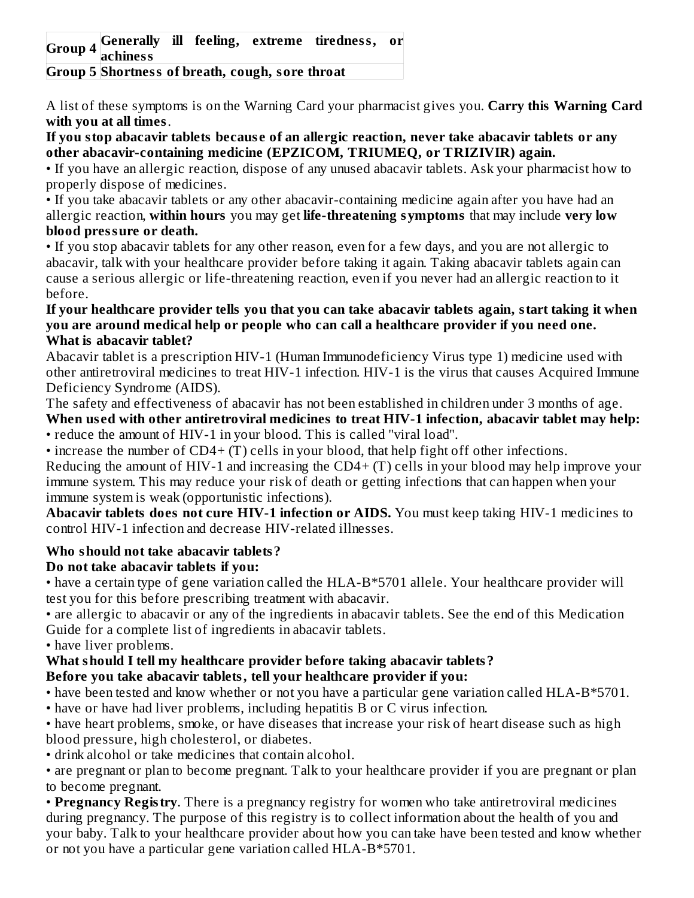**Group 4 Generally ill feeling, extreme tiredness, or achiness**

**Group 5 Shortness of breath, cough, sore throat**

A list of these symptoms is on the Warning Card your pharmacist gives you. **Carry this Warning Card with you at all times**.

**If you stop abacavir tablets becaus e of an allergic reaction, never take abacavir tablets or any other abacavir-containing medicine (EPZICOM, TRIUMEQ, or TRIZIVIR) again.**

• If you have an allergic reaction, dispose of any unused abacavir tablets. Ask your pharmacist how to properly dispose of medicines.

• If you take abacavir tablets or any other abacavir-containing medicine again after you have had an allergic reaction, **within hours** you may get **life-threatening symptoms** that may include **very low blood pressure or death.**

• If you stop abacavir tablets for any other reason, even for a few days, and you are not allergic to abacavir, talk with your healthcare provider before taking it again. Taking abacavir tablets again can cause a serious allergic or life-threatening reaction, even if you never had an allergic reaction to it before.

#### **If your healthcare provider tells you that you can take abacavir tablets again, start taking it when you are around medical help or people who can call a healthcare provider if you need one. What is abacavir tablet?**

Abacavir tablet is a prescription HIV-1 (Human Immunodeficiency Virus type 1) medicine used with other antiretroviral medicines to treat HIV-1 infection. HIV-1 is the virus that causes Acquired Immune Deficiency Syndrome (AIDS).

The safety and effectiveness of abacavir has not been established in children under 3 months of age. **When us ed with other antiretroviral medicines to treat HIV-1 infection, abacavir tablet may help:** • reduce the amount of HIV-1 in your blood. This is called ''viral load''.

• increase the number of CD4+ (T) cells in your blood, that help fight off other infections.

Reducing the amount of HIV-1 and increasing the CD4+ (T) cells in your blood may help improve your immune system. This may reduce your risk of death or getting infections that can happen when your immune system is weak (opportunistic infections).

**Abacavir tablets does not cure HIV-1 infection or AIDS.** You must keep taking HIV-1 medicines to control HIV-1 infection and decrease HIV-related illnesses.

### **Who should not take abacavir tablets?**

#### **Do not take abacavir tablets if you:**

• have a certain type of gene variation called the HLA-B\*5701 allele. Your healthcare provider will test you for this before prescribing treatment with abacavir.

• are allergic to abacavir or any of the ingredients in abacavir tablets. See the end of this Medication Guide for a complete list of ingredients in abacavir tablets.

• have liver problems.

### **What should I tell my healthcare provider before taking abacavir tablets? Before you take abacavir tablets, tell your healthcare provider if you:**

- have been tested and know whether or not you have a particular gene variation called HLA-B\*5701.
- have or have had liver problems, including hepatitis B or C virus infection.

• have heart problems, smoke, or have diseases that increase your risk of heart disease such as high blood pressure, high cholesterol, or diabetes.

• drink alcohol or take medicines that contain alcohol.

• are pregnant or plan to become pregnant. Talk to your healthcare provider if you are pregnant or plan to become pregnant.

• **Pregnancy Registry**. There is a pregnancy registry for women who take antiretroviral medicines during pregnancy. The purpose of this registry is to collect information about the health of you and your baby. Talk to your healthcare provider about how you can take have been tested and know whether or not you have a particular gene variation called HLA-B\*5701.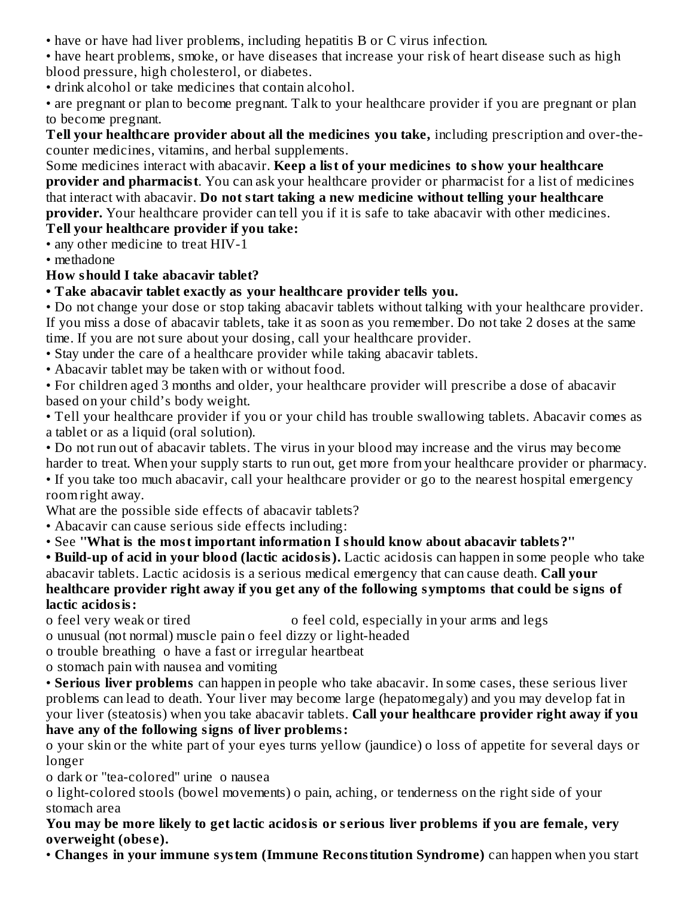- have or have had liver problems, including hepatitis B or C virus infection.
- have heart problems, smoke, or have diseases that increase your risk of heart disease such as high blood pressure, high cholesterol, or diabetes.
- drink alcohol or take medicines that contain alcohol.

• are pregnant or plan to become pregnant. Talk to your healthcare provider if you are pregnant or plan to become pregnant.

**Tell your healthcare provider about all the medicines you take,** including prescription and over-thecounter medicines, vitamins, and herbal supplements.

Some medicines interact with abacavir. **Keep a list of your medicines to show your healthcare provider and pharmacist**. You can ask your healthcare provider or pharmacist for a list of medicines that interact with abacavir. **Do not start taking a new medicine without telling your healthcare provider.** Your healthcare provider can tell you if it is safe to take abacavir with other medicines. **Tell your healthcare provider if you take:**

• any other medicine to treat HIV-1

• methadone

### **How should I take abacavir tablet?**

### **• Take abacavir tablet exactly as your healthcare provider tells you.**

• Do not change your dose or stop taking abacavir tablets without talking with your healthcare provider. If you miss a dose of abacavir tablets, take it as soon as you remember. Do not take 2 doses at the same time. If you are not sure about your dosing, call your healthcare provider.

- Stay under the care of a healthcare provider while taking abacavir tablets.
- Abacavir tablet may be taken with or without food.

• For children aged 3 months and older, your healthcare provider will prescribe a dose of abacavir based on your child's body weight.

• Tell your healthcare provider if you or your child has trouble swallowing tablets. Abacavir comes as a tablet or as a liquid (oral solution).

• Do not run out of abacavir tablets. The virus in your blood may increase and the virus may become harder to treat. When your supply starts to run out, get more from your healthcare provider or pharmacy.

• If you take too much abacavir, call your healthcare provider or go to the nearest hospital emergency room right away.

What are the possible side effects of abacavir tablets?

• Abacavir can cause serious side effects including:

• See **''What is the most important information I should know about abacavir tablets?''**

**• Build-up of acid in your blood (lactic acidosis).** Lactic acidosis can happen in some people who take abacavir tablets. Lactic acidosis is a serious medical emergency that can cause death. **Call your healthcare provider right away if you get any of the following symptoms that could be signs of lactic acidosis:**

o feel very weak or tired o feel cold, especially in your arms and legs

o unusual (not normal) muscle pain o feel dizzy or light-headed

o trouble breathing o have a fast or irregular heartbeat

o stomach pain with nausea and vomiting

• **Serious liver problems** can happen in people who take abacavir. In some cases, these serious liver problems can lead to death. Your liver may become large (hepatomegaly) and you may develop fat in your liver (steatosis) when you take abacavir tablets. **Call your healthcare provider right away if you have any of the following signs of liver problems:**

o your skin or the white part of your eyes turns yellow (jaundice) o loss of appetite for several days or longer

o dark or ''tea-colored'' urine o nausea

o light-colored stools (bowel movements) o pain, aching, or tenderness on the right side of your stomach area

You may be more likely to get lactic acidosis or serious liver problems if you are female, very **overweight (obes e).**

• **Changes in your immune system (Immune Reconstitution Syndrome)** can happen when you start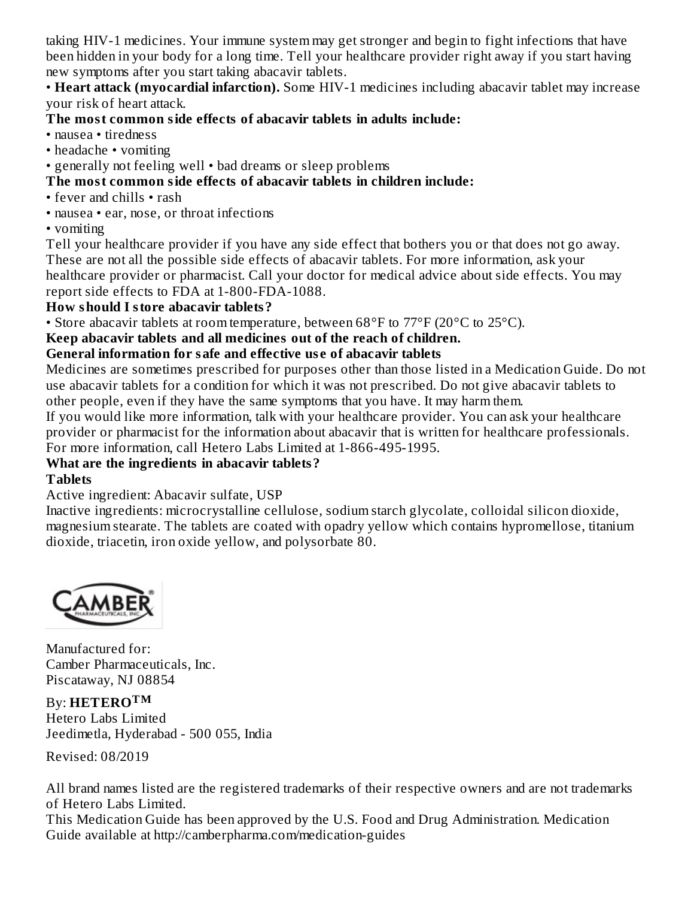taking HIV-1 medicines. Your immune system may get stronger and begin to fight infections that have been hidden in your body for a long time. Tell your healthcare provider right away if you start having new symptoms after you start taking abacavir tablets.

• **Heart attack (myocardial infarction).** Some HIV-1 medicines including abacavir tablet may increase your risk of heart attack.

### **The most common side effects of abacavir tablets in adults include:**

- nausea tiredness
- headache vomiting
- generally not feeling well bad dreams or sleep problems

### **The most common side effects of abacavir tablets in children include:**

- fever and chills rash
- nausea ear, nose, or throat infections
- vomiting

Tell your healthcare provider if you have any side effect that bothers you or that does not go away. These are not all the possible side effects of abacavir tablets. For more information, ask your healthcare provider or pharmacist. Call your doctor for medical advice about side effects. You may report side effects to FDA at 1-800-FDA-1088.

#### **How should I store abacavir tablets?**

• Store abacavir tablets at room temperature, between 68°F to 77°F (20°C to 25°C).

#### **Keep abacavir tablets and all medicines out of the reach of children.**

#### **General information for safe and effective us e of abacavir tablets**

Medicines are sometimes prescribed for purposes other than those listed in a Medication Guide. Do not use abacavir tablets for a condition for which it was not prescribed. Do not give abacavir tablets to other people, even if they have the same symptoms that you have. It may harm them.

If you would like more information, talk with your healthcare provider. You can ask your healthcare provider or pharmacist for the information about abacavir that is written for healthcare professionals. For more information, call Hetero Labs Limited at 1-866-495-1995.

# **What are the ingredients in abacavir tablets?**

#### **Tablets**

### Active ingredient: Abacavir sulfate, USP

Inactive ingredients: microcrystalline cellulose, sodium starch glycolate, colloidal silicon dioxide, magnesium stearate. The tablets are coated with opadry yellow which contains hypromellose, titanium dioxide, triacetin, iron oxide yellow, and polysorbate 80.



Manufactured for: Camber Pharmaceuticals, Inc. Piscataway, NJ 08854

By: **HETERO TM**Hetero Labs Limited Jeedimetla, Hyderabad - 500 055, India

Revised: 08/2019

All brand names listed are the registered trademarks of their respective owners and are not trademarks of Hetero Labs Limited.

This Medication Guide has been approved by the U.S. Food and Drug Administration. Medication Guide available at http://camberpharma.com/medication-guides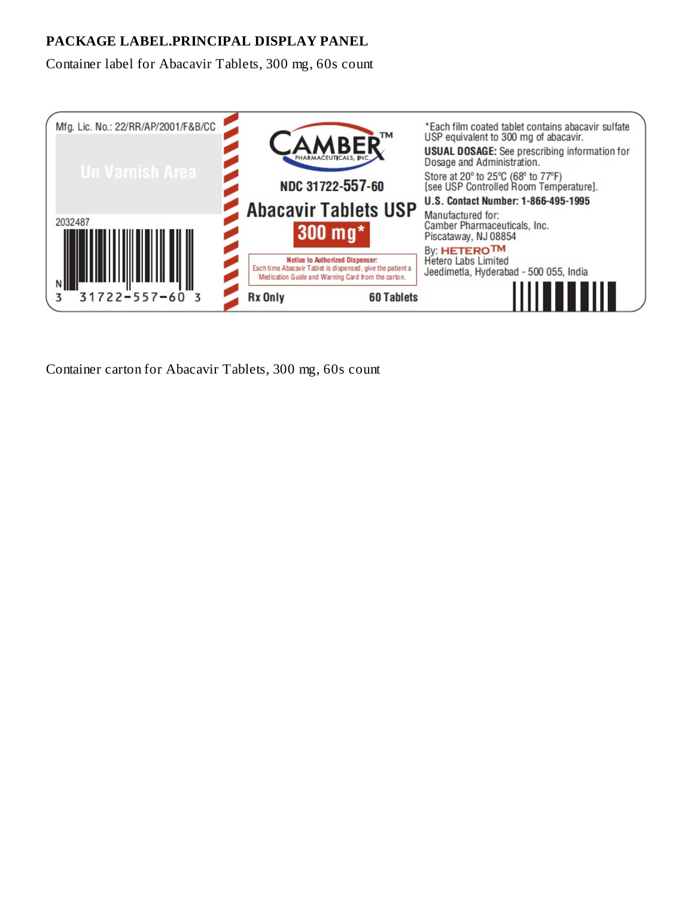#### **PACKAGE LABEL.PRINCIPAL DISPLAY PANEL**

Container label for Abacavir Tablets, 300 mg, 60s count



Container carton for Abacavir Tablets, 300 mg, 60s count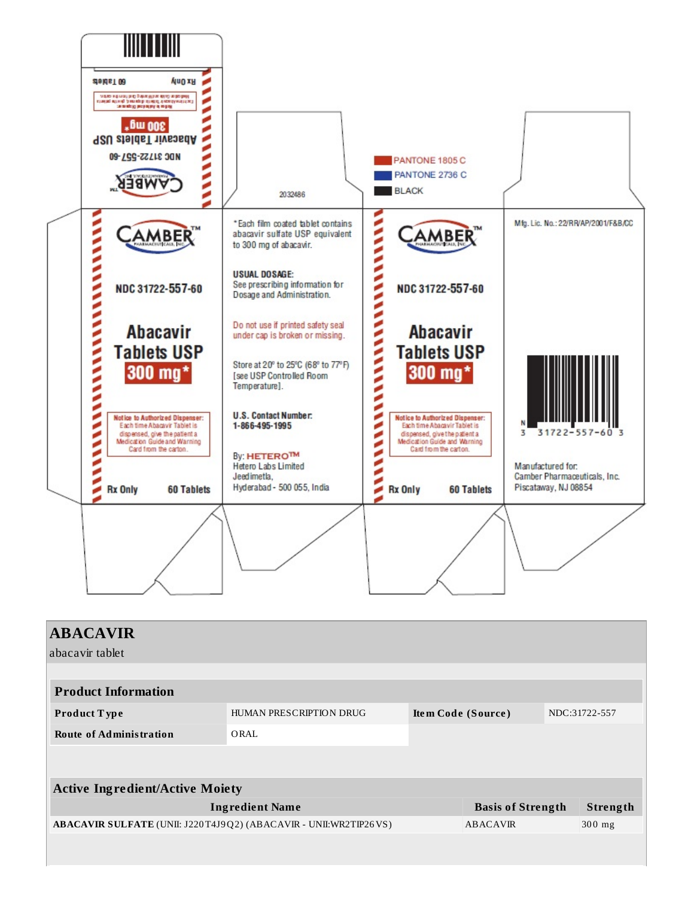

| <b>ABACAVIR</b>                                                         |                         |                          |                    |          |               |
|-------------------------------------------------------------------------|-------------------------|--------------------------|--------------------|----------|---------------|
| abacavir tablet                                                         |                         |                          |                    |          |               |
|                                                                         |                         |                          |                    |          |               |
| <b>Product Information</b>                                              |                         |                          |                    |          |               |
| Product Type                                                            | HUMAN PRESCRIPTION DRUG |                          | Item Code (Source) |          | NDC:31722-557 |
| <b>Route of Administration</b>                                          |                         |                          |                    |          |               |
|                                                                         |                         |                          |                    |          |               |
|                                                                         |                         |                          |                    |          |               |
| <b>Active Ingredient/Active Moiety</b>                                  |                         |                          |                    |          |               |
| <b>Ingredient Name</b>                                                  |                         | <b>Basis of Strength</b> |                    | Strength |               |
| <b>ABACAVIR SULFATE (UNII: J220T4J9Q2) (ABACAVIR - UNII:WR2TIP26VS)</b> |                         |                          | <b>ABACAVIR</b>    |          | $300$ mg      |
|                                                                         |                         |                          |                    |          |               |
|                                                                         |                         |                          |                    |          |               |